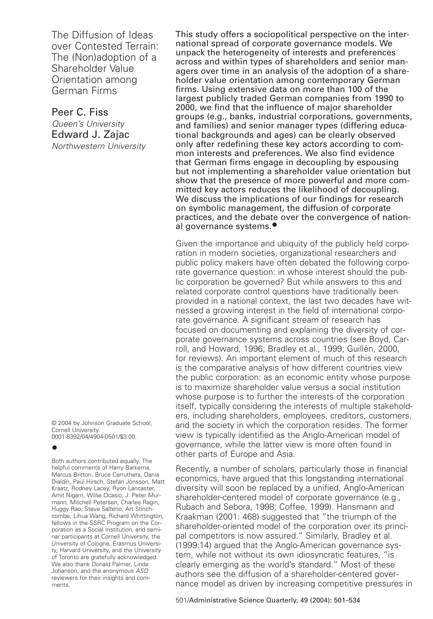The Diffusion of Ideas over Contested Terrain: The (Non)adoption of a Shareholder Value Orientation among German Firms

# Peer C. Fiss Queen's University Edward J. Zajac

Northwestern University

© 2004 by Johnson Graduate School, Cornell University. 0001-8392/04/4904-0501/\$3.00.

# **•**

Both authors contributed equally. The helpful comments of Harry Barkema, Marcus Britton, Bruce Carruthers, Dania Dialdin, Paul Hirsch, Stefan Jonsson, Matt Kraatz, Rodney Lacey, Ryon Lancaster, Amit Nigam, Willie Ocasio, J. Peter Murmann, Mitchell Petersen, Charles Ragin, Huggy Rao, Steve Salterio, Art Stinchcombe, Lihua Wang, Richard Whittington, fellows in the SSRC Program on the Corporation as a Social Institution, and seminar participants at Cornell University, the University of Cologne, Erasmus University, Harvard University, and the University of Toronto are gratefully acknowledged. We also thank Donald Palmer, Linda Johanson, and the anonymous ASQ reviewers for their insights and comments.

This study offers a sociopolitical perspective on the international spread of corporate governance models. We unpack the heterogeneity of interests and preferences across and within types of shareholders and senior managers over time in an analysis of the adoption of a shareholder value orientation among contemporary German firms. Using extensive data on more than 100 of the largest publicly traded German companies from 1990 to 2000, we find that the influence of major shareholder groups (e.g., banks, industrial corporations, governments, and families) and senior manager types (differing educational backgrounds and ages) can be clearly observed only after redefining these key actors according to common interests and preferences. We also find evidence that German firms engage in decoupling by espousing but not implementing a shareholder value orientation but show that the presence of more powerful and more committed key actors reduces the likelihood of decoupling. We discuss the implications of our findings for research on symbolic management, the diffusion of corporate practices, and the debate over the convergence of national governance systems.**•**

Given the importance and ubiquity of the publicly held corporation in modern societies, organizational researchers and public policy makers have often debated the following corporate governance question: in whose interest should the public corporation be governed? But while answers to this and related corporate control questions have traditionally been provided in a national context, the last two decades have witnessed a growing interest in the field of international corporate governance. A significant stream of research has focused on documenting and explaining the diversity of corporate governance systems across countries (see Boyd, Carroll, and Howard, 1996; Bradley et al., 1999; Guillén, 2000, for reviews). An important element of much of this research is the comparative analysis of how different countries view the public corporation: as an economic entity whose purpose is to maximize shareholder value versus a social institution whose purpose is to further the interests of the corporation itself, typically considering the interests of multiple stakeholders, including shareholders, employees, creditors, customers, and the society in which the corporation resides. The former view is typically identified as the Anglo-American model of governance, while the latter view is more often found in other parts of Europe and Asia.

Recently, a number of scholars, particularly those in financial economics, have argued that this longstanding international diversity will soon be replaced by a unified, Anglo-American shareholder-centered model of corporate governance (e.g., Rubach and Sebora, 1998; Coffee, 1999). Hansmann and Kraakman (2001: 468) suggested that "the triumph of the shareholder-oriented model of the corporation over its principal competitors is now assured." Similarly, Bradley et al. (1999:14) argued that the Anglo-American governance system, while not without its own idiosyncratic features, "is clearly emerging as the world's standard." Most of these authors see the diffusion of a shareholder-centered governance model as driven by increasing competitive pressures in

501/Administrative Science Quarterly, 49 (2004): 501–534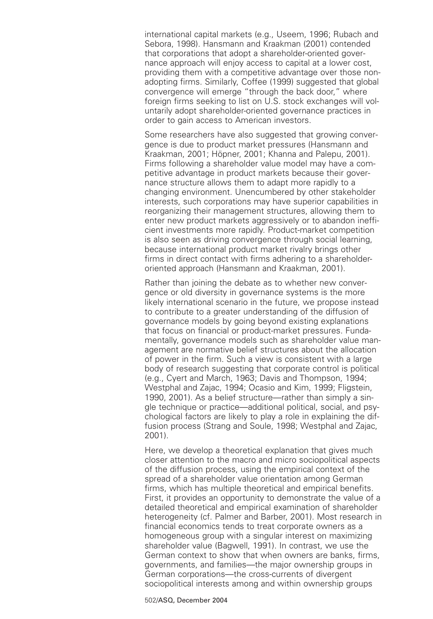international capital markets (e.g., Useem, 1996; Rubach and Sebora, 1998). Hansmann and Kraakman (2001) contended that corporations that adopt a shareholder-oriented governance approach will enjoy access to capital at a lower cost, providing them with a competitive advantage over those nonadopting firms. Similarly, Coffee (1999) suggested that global convergence will emerge "through the back door," where foreign firms seeking to list on U.S. stock exchanges will voluntarily adopt shareholder-oriented governance practices in order to gain access to American investors.

Some researchers have also suggested that growing convergence is due to product market pressures (Hansmann and Kraakman, 2001; Höpner, 2001; Khanna and Palepu, 2001). Firms following a shareholder value model may have a competitive advantage in product markets because their governance structure allows them to adapt more rapidly to a changing environment. Unencumbered by other stakeholder interests, such corporations may have superior capabilities in reorganizing their management structures, allowing them to enter new product markets aggressively or to abandon inefficient investments more rapidly. Product-market competition is also seen as driving convergence through social learning, because international product market rivalry brings other firms in direct contact with firms adhering to a shareholderoriented approach (Hansmann and Kraakman, 2001).

Rather than joining the debate as to whether new convergence or old diversity in governance systems is the more likely international scenario in the future, we propose instead to contribute to a greater understanding of the diffusion of governance models by going beyond existing explanations that focus on financial or product-market pressures. Fundamentally, governance models such as shareholder value management are normative belief structures about the allocation of power in the firm. Such a view is consistent with a large body of research suggesting that corporate control is political (e.g., Cyert and March, 1963; Davis and Thompson, 1994; Westphal and Zajac, 1994; Ocasio and Kim, 1999; Fligstein, 1990, 2001). As a belief structure—rather than simply a single technique or practice—additional political, social, and psychological factors are likely to play a role in explaining the diffusion process (Strang and Soule, 1998; Westphal and Zajac, 2001).

Here, we develop a theoretical explanation that gives much closer attention to the macro and micro sociopolitical aspects of the diffusion process, using the empirical context of the spread of a shareholder value orientation among German firms, which has multiple theoretical and empirical benefits. First, it provides an opportunity to demonstrate the value of a detailed theoretical and empirical examination of shareholder heterogeneity (cf. Palmer and Barber, 2001). Most research in financial economics tends to treat corporate owners as a homogeneous group with a singular interest on maximizing shareholder value (Bagwell, 1991). In contrast, we use the German context to show that when owners are banks, firms, governments, and families—the major ownership groups in German corporations—the cross-currents of divergent sociopolitical interests among and within ownership groups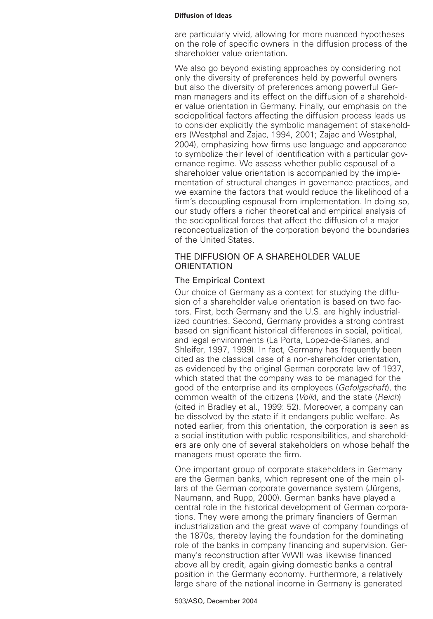are particularly vivid, allowing for more nuanced hypotheses on the role of specific owners in the diffusion process of the shareholder value orientation.

We also go beyond existing approaches by considering not only the diversity of preferences held by powerful owners but also the diversity of preferences among powerful German managers and its effect on the diffusion of a shareholder value orientation in Germany. Finally, our emphasis on the sociopolitical factors affecting the diffusion process leads us to consider explicitly the symbolic management of stakeholders (Westphal and Zajac, 1994, 2001; Zajac and Westphal, 2004), emphasizing how firms use language and appearance to symbolize their level of identification with a particular governance regime. We assess whether public espousal of a shareholder value orientation is accompanied by the implementation of structural changes in governance practices, and we examine the factors that would reduce the likelihood of a firm's decoupling espousal from implementation. In doing so, our study offers a richer theoretical and empirical analysis of the sociopolitical forces that affect the diffusion of a major reconceptualization of the corporation beyond the boundaries of the United States.

# THE DIFFUSION OF A SHAREHOLDER VALUE **ORIENTATION**

# The Empirical Context

Our choice of Germany as a context for studying the diffusion of a shareholder value orientation is based on two factors. First, both Germany and the U.S. are highly industrialized countries. Second, Germany provides a strong contrast based on significant historical differences in social, political, and legal environments (La Porta, Lopez-de-Silanes, and Shleifer, 1997, 1999). In fact, Germany has frequently been cited as the classical case of a non-shareholder orientation, as evidenced by the original German corporate law of 1937, which stated that the company was to be managed for the good of the enterprise and its employees (Gefolgschaft), the common wealth of the citizens (Volk), and the state (Reich) (cited in Bradley et al., 1999: 52). Moreover, a company can be dissolved by the state if it endangers public welfare. As noted earlier, from this orientation, the corporation is seen as a social institution with public responsibilities, and shareholders are only one of several stakeholders on whose behalf the managers must operate the firm.

One important group of corporate stakeholders in Germany are the German banks, which represent one of the main pillars of the German corporate governance system (Jürgens, Naumann, and Rupp, 2000). German banks have played a central role in the historical development of German corporations. They were among the primary financiers of German industrialization and the great wave of company foundings of the 1870s, thereby laying the foundation for the dominating role of the banks in company financing and supervision. Germany's reconstruction after WWII was likewise financed above all by credit, again giving domestic banks a central position in the Germany economy. Furthermore, a relatively large share of the national income in Germany is generated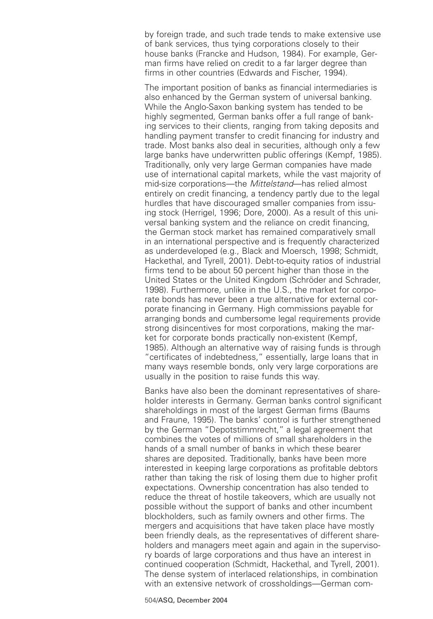by foreign trade, and such trade tends to make extensive use of bank services, thus tying corporations closely to their house banks (Francke and Hudson, 1984). For example, German firms have relied on credit to a far larger degree than firms in other countries (Edwards and Fischer, 1994).

The important position of banks as financial intermediaries is also enhanced by the German system of universal banking. While the Anglo-Saxon banking system has tended to be highly segmented, German banks offer a full range of banking services to their clients, ranging from taking deposits and handling payment transfer to credit financing for industry and trade. Most banks also deal in securities, although only a few large banks have underwritten public offerings (Kempf, 1985). Traditionally, only very large German companies have made use of international capital markets, while the vast majority of mid-size corporations—the Mittelstand—has relied almost entirely on credit financing, a tendency partly due to the legal hurdles that have discouraged smaller companies from issuing stock (Herrigel, 1996; Dore, 2000). As a result of this universal banking system and the reliance on credit financing, the German stock market has remained comparatively small in an international perspective and is frequently characterized as underdeveloped (e.g., Black and Moersch, 1998; Schmidt, Hackethal, and Tyrell, 2001). Debt-to-equity ratios of industrial firms tend to be about 50 percent higher than those in the United States or the United Kingdom (Schröder and Schrader, 1998). Furthermore, unlike in the U.S., the market for corporate bonds has never been a true alternative for external corporate financing in Germany. High commissions payable for arranging bonds and cumbersome legal requirements provide strong disincentives for most corporations, making the market for corporate bonds practically non-existent (Kempf, 1985). Although an alternative way of raising funds is through "certificates of indebtedness," essentially, large loans that in many ways resemble bonds, only very large corporations are usually in the position to raise funds this way.

Banks have also been the dominant representatives of shareholder interests in Germany. German banks control significant shareholdings in most of the largest German firms (Baums and Fraune, 1995). The banks' control is further strengthened by the German "Depotstimmrecht," a legal agreement that combines the votes of millions of small shareholders in the hands of a small number of banks in which these bearer shares are deposited. Traditionally, banks have been more interested in keeping large corporations as profitable debtors rather than taking the risk of losing them due to higher profit expectations. Ownership concentration has also tended to reduce the threat of hostile takeovers, which are usually not possible without the support of banks and other incumbent blockholders, such as family owners and other firms. The mergers and acquisitions that have taken place have mostly been friendly deals, as the representatives of different shareholders and managers meet again and again in the supervisory boards of large corporations and thus have an interest in continued cooperation (Schmidt, Hackethal, and Tyrell, 2001). The dense system of interlaced relationships, in combination with an extensive network of crossholdings—German com-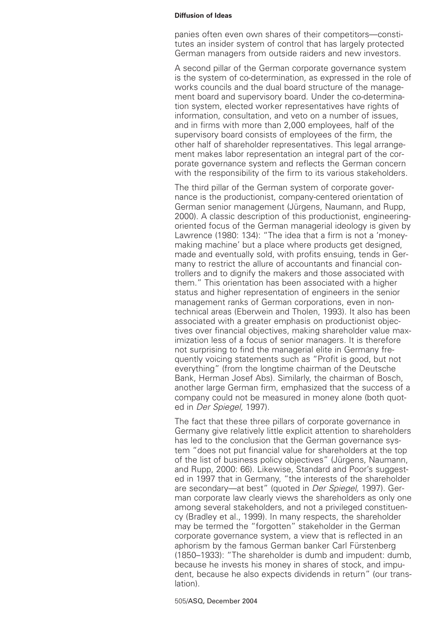panies often even own shares of their competitors—constitutes an insider system of control that has largely protected German managers from outside raiders and new investors.

A second pillar of the German corporate governance system is the system of co-determination, as expressed in the role of works councils and the dual board structure of the management board and supervisory board. Under the co-determination system, elected worker representatives have rights of information, consultation, and veto on a number of issues, and in firms with more than 2,000 employees, half of the supervisory board consists of employees of the firm, the other half of shareholder representatives. This legal arrangement makes labor representation an integral part of the corporate governance system and reflects the German concern with the responsibility of the firm to its various stakeholders.

The third pillar of the German system of corporate governance is the productionist, company-centered orientation of German senior management (Jürgens, Naumann, and Rupp, 2000). A classic description of this productionist, engineeringoriented focus of the German managerial ideology is given by Lawrence (1980: 134): "The idea that a firm is not a 'moneymaking machine' but a place where products get designed, made and eventually sold, with profits ensuing, tends in Germany to restrict the allure of accountants and financial controllers and to dignify the makers and those associated with them." This orientation has been associated with a higher status and higher representation of engineers in the senior management ranks of German corporations, even in nontechnical areas (Eberwein and Tholen, 1993). It also has been associated with a greater emphasis on productionist objectives over financial objectives, making shareholder value maximization less of a focus of senior managers. It is therefore not surprising to find the managerial elite in Germany frequently voicing statements such as "Profit is good, but not everything" (from the longtime chairman of the Deutsche Bank, Herman Josef Abs). Similarly, the chairman of Bosch, another large German firm, emphasized that the success of a company could not be measured in money alone (both quoted in Der Spiegel, 1997).

The fact that these three pillars of corporate governance in Germany give relatively little explicit attention to shareholders has led to the conclusion that the German governance system "does not put financial value for shareholders at the top of the list of business policy objectives" (Jürgens, Naumann, and Rupp, 2000: 66). Likewise, Standard and Poor's suggested in 1997 that in Germany, "the interests of the shareholder are secondary—at best" (quoted in Der Spiegel, 1997). German corporate law clearly views the shareholders as only one among several stakeholders, and not a privileged constituency (Bradley et al., 1999). In many respects, the shareholder may be termed the "forgotten" stakeholder in the German corporate governance system, a view that is reflected in an aphorism by the famous German banker Carl Fürstenberg (1850–1933): "The shareholder is dumb and impudent: dumb, because he invests his money in shares of stock, and impudent, because he also expects dividends in return" (our translation).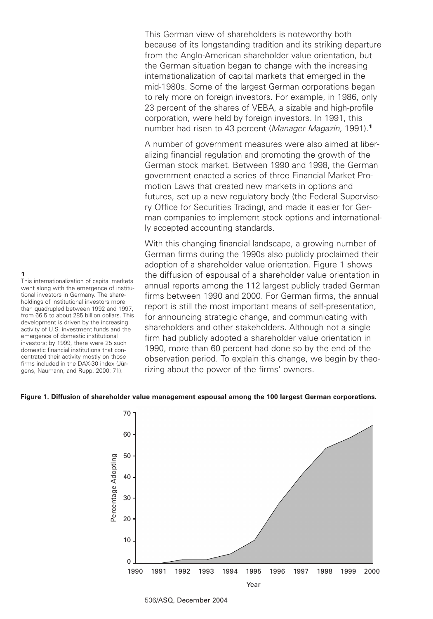This German view of shareholders is noteworthy both because of its longstanding tradition and its striking departure from the Anglo-American shareholder value orientation, but the German situation began to change with the increasing internationalization of capital markets that emerged in the mid-1980s. Some of the largest German corporations began to rely more on foreign investors. For example, in 1986, only 23 percent of the shares of VEBA, a sizable and high-profile corporation, were held by foreign investors. In 1991, this number had risen to 43 percent (Manager Magazin, 1991).**<sup>1</sup>**

A number of government measures were also aimed at liberalizing financial regulation and promoting the growth of the German stock market. Between 1990 and 1998, the German government enacted a series of three Financial Market Promotion Laws that created new markets in options and futures, set up a new regulatory body (the Federal Supervisory Office for Securities Trading), and made it easier for German companies to implement stock options and internationally accepted accounting standards.

With this changing financial landscape, a growing number of German firms during the 1990s also publicly proclaimed their adoption of a shareholder value orientation. Figure 1 shows the diffusion of espousal of a shareholder value orientation in annual reports among the 112 largest publicly traded German firms between 1990 and 2000. For German firms, the annual report is still the most important means of self-presentation, for announcing strategic change, and communicating with shareholders and other stakeholders. Although not a single firm had publicly adopted a shareholder value orientation in 1990, more than 60 percent had done so by the end of the observation period. To explain this change, we begin by theorizing about the power of the firms' owners.

# **Figure 1. Diffusion of shareholder value management espousal among the 100 largest German corporations.**



506/ASQ, December 2004

# **1**

This internationalization of capital markets went along with the emergence of institutional investors in Germany. The shareholdings of institutional investors more than quadrupled between 1992 and 1997, from 66.5 to about 285 billion dollars. This development is driven by the increasing activity of U.S. investment funds and the emergence of domestic institutional investors; by 1999, there were 25 such domestic financial institutions that concentrated their activity mostly on those firms included in the DAX-30 index (Jürgens, Naumann, and Rupp, 2000: 71).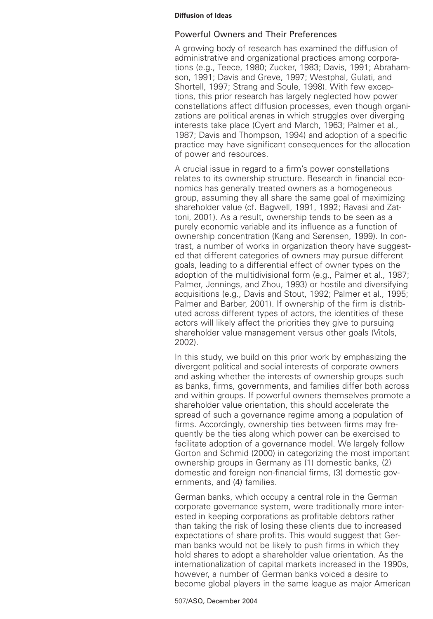# Powerful Owners and Their Preferences

A growing body of research has examined the diffusion of administrative and organizational practices among corporations (e.g., Teece, 1980; Zucker, 1983; Davis, 1991; Abrahamson, 1991; Davis and Greve, 1997; Westphal, Gulati, and Shortell, 1997; Strang and Soule, 1998). With few exceptions, this prior research has largely neglected how power constellations affect diffusion processes, even though organizations are political arenas in which struggles over diverging interests take place (Cyert and March, 1963; Palmer et al., 1987; Davis and Thompson, 1994) and adoption of a specific practice may have significant consequences for the allocation of power and resources.

A crucial issue in regard to a firm's power constellations relates to its ownership structure. Research in financial economics has generally treated owners as a homogeneous group, assuming they all share the same goal of maximizing shareholder value (cf. Bagwell, 1991, 1992; Ravasi and Zattoni, 2001). As a result, ownership tends to be seen as a purely economic variable and its influence as a function of ownership concentration (Kang and Sørensen, 1999). In contrast, a number of works in organization theory have suggested that different categories of owners may pursue different goals, leading to a differential effect of owner types on the adoption of the multidivisional form (e.g., Palmer et al., 1987; Palmer, Jennings, and Zhou, 1993) or hostile and diversifying acquisitions (e.g., Davis and Stout, 1992; Palmer et al., 1995; Palmer and Barber, 2001). If ownership of the firm is distributed across different types of actors, the identities of these actors will likely affect the priorities they give to pursuing shareholder value management versus other goals (Vitols, 2002).

In this study, we build on this prior work by emphasizing the divergent political and social interests of corporate owners and asking whether the interests of ownership groups such as banks, firms, governments, and families differ both across and within groups. If powerful owners themselves promote a shareholder value orientation, this should accelerate the spread of such a governance regime among a population of firms. Accordingly, ownership ties between firms may frequently be the ties along which power can be exercised to facilitate adoption of a governance model. We largely follow Gorton and Schmid (2000) in categorizing the most important ownership groups in Germany as (1) domestic banks, (2) domestic and foreign non-financial firms, (3) domestic governments, and (4) families.

German banks, which occupy a central role in the German corporate governance system, were traditionally more interested in keeping corporations as profitable debtors rather than taking the risk of losing these clients due to increased expectations of share profits. This would suggest that German banks would not be likely to push firms in which they hold shares to adopt a shareholder value orientation. As the internationalization of capital markets increased in the 1990s, however, a number of German banks voiced a desire to become global players in the same league as major American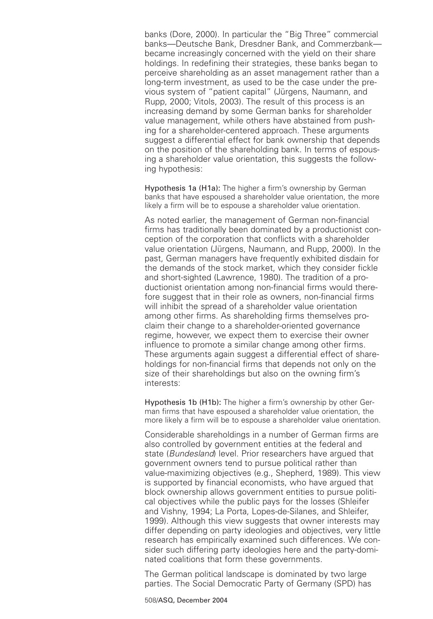banks (Dore, 2000). In particular the "Big Three" commercial banks—Deutsche Bank, Dresdner Bank, and Commerzbank became increasingly concerned with the yield on their share holdings. In redefining their strategies, these banks began to perceive shareholding as an asset management rather than a long-term investment, as used to be the case under the previous system of "patient capital" (Jürgens, Naumann, and Rupp, 2000; Vitols, 2003). The result of this process is an increasing demand by some German banks for shareholder value management, while others have abstained from pushing for a shareholder-centered approach. These arguments suggest a differential effect for bank ownership that depends on the position of the shareholding bank. In terms of espousing a shareholder value orientation, this suggests the following hypothesis:

Hypothesis 1a (H1a): The higher a firm's ownership by German banks that have espoused a shareholder value orientation, the more likely a firm will be to espouse a shareholder value orientation.

As noted earlier, the management of German non-financial firms has traditionally been dominated by a productionist conception of the corporation that conflicts with a shareholder value orientation (Jürgens, Naumann, and Rupp, 2000). In the past, German managers have frequently exhibited disdain for the demands of the stock market, which they consider fickle and short-sighted (Lawrence, 1980). The tradition of a productionist orientation among non-financial firms would therefore suggest that in their role as owners, non-financial firms will inhibit the spread of a shareholder value orientation among other firms. As shareholding firms themselves proclaim their change to a shareholder-oriented governance regime, however, we expect them to exercise their owner influence to promote a similar change among other firms. These arguments again suggest a differential effect of shareholdings for non-financial firms that depends not only on the size of their shareholdings but also on the owning firm's interests:

Hypothesis 1b (H1b): The higher a firm's ownership by other German firms that have espoused a shareholder value orientation, the more likely a firm will be to espouse a shareholder value orientation.

Considerable shareholdings in a number of German firms are also controlled by government entities at the federal and state (Bundesland) level. Prior researchers have arqued that government owners tend to pursue political rather than value-maximizing objectives (e.g., Shepherd, 1989). This view is supported by financial economists, who have argued that block ownership allows government entities to pursue political objectives while the public pays for the losses (Shleifer and Vishny, 1994; La Porta, Lopes-de-Silanes, and Shleifer, 1999). Although this view suggests that owner interests may differ depending on party ideologies and objectives, very little research has empirically examined such differences. We consider such differing party ideologies here and the party-dominated coalitions that form these governments.

The German political landscape is dominated by two large parties. The Social Democratic Party of Germany (SPD) has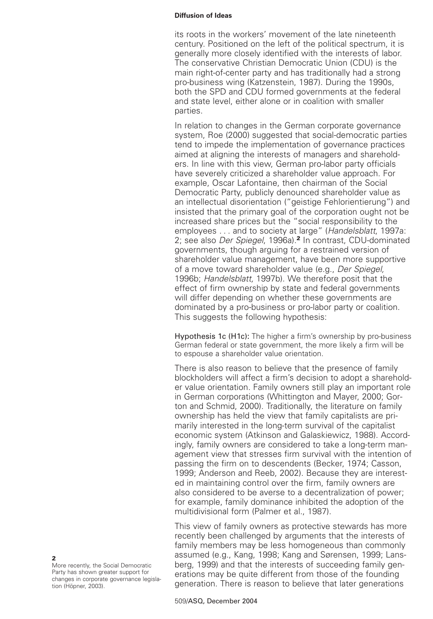its roots in the workers' movement of the late nineteenth century. Positioned on the left of the political spectrum, it is generally more closely identified with the interests of labor. The conservative Christian Democratic Union (CDU) is the main right-of-center party and has traditionally had a strong pro-business wing (Katzenstein, 1987). During the 1990s, both the SPD and CDU formed governments at the federal and state level, either alone or in coalition with smaller parties.

In relation to changes in the German corporate governance system, Roe (2000) suggested that social-democratic parties tend to impede the implementation of governance practices aimed at aligning the interests of managers and shareholders. In line with this view, German pro-labor party officials have severely criticized a shareholder value approach. For example, Oscar Lafontaine, then chairman of the Social Democratic Party, publicly denounced shareholder value as an intellectual disorientation ("geistige Fehlorientierung") and insisted that the primary goal of the corporation ought not be increased share prices but the "social responsibility to the employees . . . and to society at large" (Handelsblatt, 1997a: 2; see also Der Spiegel, 1996a).**<sup>2</sup>** In contrast, CDU-dominated governments, though arguing for a restrained version of shareholder value management, have been more supportive of a move toward shareholder value (e.g., Der Spiegel, 1996b; Handelsblatt, 1997b). We therefore posit that the effect of firm ownership by state and federal governments will differ depending on whether these governments are dominated by a pro-business or pro-labor party or coalition. This suggests the following hypothesis:

Hypothesis 1c (H1c): The higher a firm's ownership by pro-business German federal or state government, the more likely a firm will be to espouse a shareholder value orientation.

There is also reason to believe that the presence of family blockholders will affect a firm's decision to adopt a shareholder value orientation. Family owners still play an important role in German corporations (Whittington and Mayer, 2000; Gorton and Schmid, 2000). Traditionally, the literature on family ownership has held the view that family capitalists are primarily interested in the long-term survival of the capitalist economic system (Atkinson and Galaskiewicz, 1988). Accordingly, family owners are considered to take a long-term management view that stresses firm survival with the intention of passing the firm on to descendents (Becker, 1974; Casson, 1999; Anderson and Reeb, 2002). Because they are interested in maintaining control over the firm, family owners are also considered to be averse to a decentralization of power; for example, family dominance inhibited the adoption of the multidivisional form (Palmer et al., 1987).

This view of family owners as protective stewards has more recently been challenged by arguments that the interests of family members may be less homogeneous than commonly assumed (e.g., Kang, 1998; Kang and Sørensen, 1999; Lansberg, 1999) and that the interests of succeeding family generations may be quite different from those of the founding generation. There is reason to believe that later generations

**2** More recently, the Social Democratic Party has shown greater support for changes in corporate governance legislation (Höpner, 2003).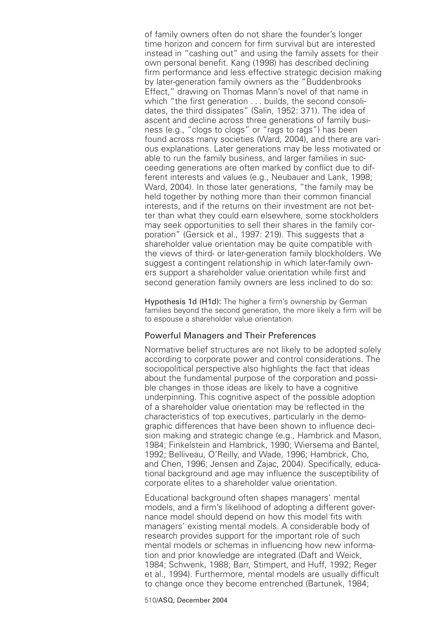of family owners often do not share the founder's longer time horizon and concern for firm survival but are interested instead in "cashing out" and using the family assets for their own personal benefit. Kang (1998) has described declining firm performance and less effective strategic decision making by later-generation family owners as the "Buddenbrooks Effect," drawing on Thomas Mann's novel of that name in which "the first generation . . . builds, the second consolidates, the third dissipates" (Salin, 1952: 371). The idea of ascent and decline across three generations of family business (e.g., "clogs to clogs" or "rags to rags") has been found across many societies (Ward, 2004), and there are various explanations. Later generations may be less motivated or able to run the family business, and larger families in succeeding generations are often marked by conflict due to different interests and values (e.g., Neubauer and Lank, 1998; Ward, 2004). In those later generations, "the family may be held together by nothing more than their common financial interests, and if the returns on their investment are not better than what they could earn elsewhere, some stockholders may seek opportunities to sell their shares in the family corporation" (Gersick et al., 1997: 219). This suggests that a shareholder value orientation may be quite compatible with the views of third- or later-generation family blockholders. We suggest a contingent relationship in which later-family owners support a shareholder value orientation while first and second generation family owners are less inclined to do so:

Hypothesis 1d (H1d): The higher a firm's ownership by German families beyond the second generation, the more likely a firm will be to espouse a shareholder value orientation.

# Powerful Managers and Their Preferences

Normative belief structures are not likely to be adopted solely according to corporate power and control considerations. The sociopolitical perspective also highlights the fact that ideas about the fundamental purpose of the corporation and possible changes in those ideas are likely to have a cognitive underpinning. This cognitive aspect of the possible adoption of a shareholder value orientation may be reflected in the characteristics of top executives, particularly in the demographic differences that have been shown to influence decision making and strategic change (e.g., Hambrick and Mason, 1984; Finkelstein and Hambrick, 1990; Wiersema and Bantel, 1992; Belliveau, O'Reilly, and Wade, 1996; Hambrick, Cho, and Chen, 1996; Jensen and Zajac, 2004). Specifically, educational background and age may influence the susceptibility of corporate elites to a shareholder value orientation.

Educational background often shapes managers' mental models, and a firm's likelihood of adopting a different governance model should depend on how this model fits with managers' existing mental models. A considerable body of research provides support for the important role of such mental models or schemas in influencing how new information and prior knowledge are integrated (Daft and Weick, 1984; Schwenk, 1988; Barr, Stimpert, and Huff, 1992; Reger et al., 1994). Furthermore, mental models are usually difficult to change once they become entrenched (Bartunek, 1984;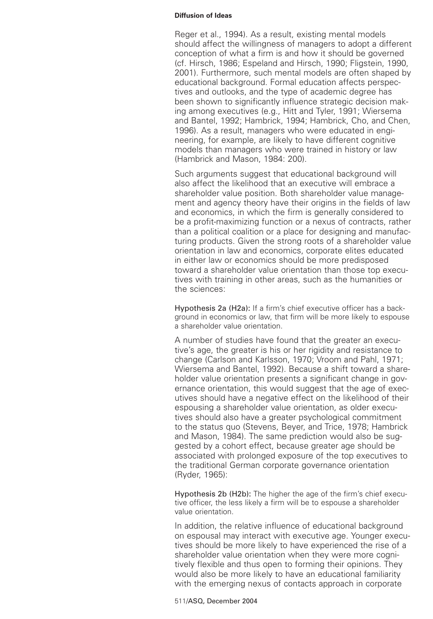Reger et al., 1994). As a result, existing mental models should affect the willingness of managers to adopt a different conception of what a firm is and how it should be governed (cf. Hirsch, 1986; Espeland and Hirsch, 1990; Fligstein, 1990, 2001). Furthermore, such mental models are often shaped by educational background. Formal education affects perspectives and outlooks, and the type of academic degree has been shown to significantly influence strategic decision making among executives (e.g., Hitt and Tyler, 1991; Wiersema and Bantel, 1992; Hambrick, 1994; Hambrick, Cho, and Chen, 1996). As a result, managers who were educated in engineering, for example, are likely to have different cognitive models than managers who were trained in history or law (Hambrick and Mason, 1984: 200).

Such arguments suggest that educational background will also affect the likelihood that an executive will embrace a shareholder value position. Both shareholder value management and agency theory have their origins in the fields of law and economics, in which the firm is generally considered to be a profit-maximizing function or a nexus of contracts, rather than a political coalition or a place for designing and manufacturing products. Given the strong roots of a shareholder value orientation in law and economics, corporate elites educated in either law or economics should be more predisposed toward a shareholder value orientation than those top executives with training in other areas, such as the humanities or the sciences:

Hypothesis 2a (H2a): If a firm's chief executive officer has a background in economics or law, that firm will be more likely to espouse a shareholder value orientation.

A number of studies have found that the greater an executive's age, the greater is his or her rigidity and resistance to change (Carlson and Karlsson, 1970; Vroom and Pahl, 1971; Wiersema and Bantel, 1992). Because a shift toward a shareholder value orientation presents a significant change in governance orientation, this would suggest that the age of executives should have a negative effect on the likelihood of their espousing a shareholder value orientation, as older executives should also have a greater psychological commitment to the status quo (Stevens, Beyer, and Trice, 1978; Hambrick and Mason, 1984). The same prediction would also be suggested by a cohort effect, because greater age should be associated with prolonged exposure of the top executives to the traditional German corporate governance orientation (Ryder, 1965):

Hypothesis 2b (H2b): The higher the age of the firm's chief executive officer, the less likely a firm will be to espouse a shareholder value orientation.

In addition, the relative influence of educational background on espousal may interact with executive age. Younger executives should be more likely to have experienced the rise of a shareholder value orientation when they were more cognitively flexible and thus open to forming their opinions. They would also be more likely to have an educational familiarity with the emerging nexus of contacts approach in corporate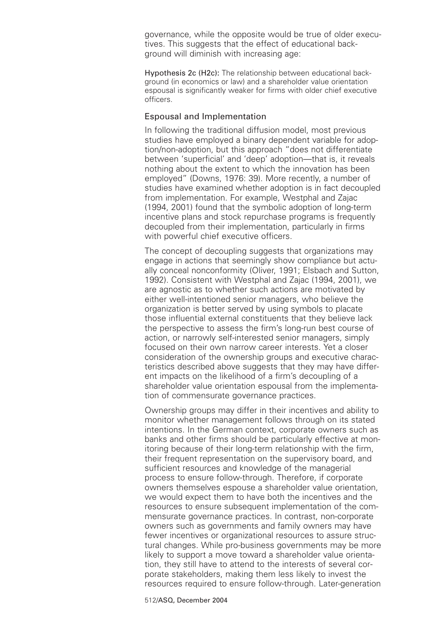governance, while the opposite would be true of older executives. This suggests that the effect of educational background will diminish with increasing age:

Hypothesis 2c (H2c): The relationship between educational background (in economics or law) and a shareholder value orientation espousal is significantly weaker for firms with older chief executive officers.

# Espousal and Implementation

In following the traditional diffusion model, most previous studies have employed a binary dependent variable for adoption/non-adoption, but this approach "does not differentiate between 'superficial' and 'deep' adoption—that is, it reveals nothing about the extent to which the innovation has been employed" (Downs, 1976: 39). More recently, a number of studies have examined whether adoption is in fact decoupled from implementation. For example, Westphal and Zajac (1994, 2001) found that the symbolic adoption of long-term incentive plans and stock repurchase programs is frequently decoupled from their implementation, particularly in firms with powerful chief executive officers.

The concept of decoupling suggests that organizations may engage in actions that seemingly show compliance but actually conceal nonconformity (Oliver, 1991; Elsbach and Sutton, 1992). Consistent with Westphal and Zajac (1994, 2001), we are agnostic as to whether such actions are motivated by either well-intentioned senior managers, who believe the organization is better served by using symbols to placate those influential external constituents that they believe lack the perspective to assess the firm's long-run best course of action, or narrowly self-interested senior managers, simply focused on their own narrow career interests. Yet a closer consideration of the ownership groups and executive characteristics described above suggests that they may have different impacts on the likelihood of a firm's decoupling of a shareholder value orientation espousal from the implementation of commensurate governance practices.

Ownership groups may differ in their incentives and ability to monitor whether management follows through on its stated intentions. In the German context, corporate owners such as banks and other firms should be particularly effective at monitoring because of their long-term relationship with the firm, their frequent representation on the supervisory board, and sufficient resources and knowledge of the managerial process to ensure follow-through. Therefore, if corporate owners themselves espouse a shareholder value orientation, we would expect them to have both the incentives and the resources to ensure subsequent implementation of the commensurate governance practices. In contrast, non-corporate owners such as governments and family owners may have fewer incentives or organizational resources to assure structural changes. While pro-business governments may be more likely to support a move toward a shareholder value orientation, they still have to attend to the interests of several corporate stakeholders, making them less likely to invest the resources required to ensure follow-through. Later-generation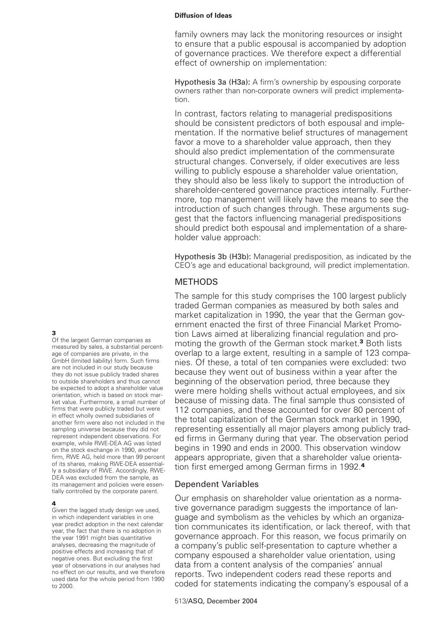family owners may lack the monitoring resources or insight to ensure that a public espousal is accompanied by adoption of governance practices. We therefore expect a differential effect of ownership on implementation:

Hypothesis 3a (H3a): A firm's ownership by espousing corporate owners rather than non-corporate owners will predict implementation.

In contrast, factors relating to managerial predispositions should be consistent predictors of both espousal and implementation. If the normative belief structures of management favor a move to a shareholder value approach, then they should also predict implementation of the commensurate structural changes. Conversely, if older executives are less willing to publicly espouse a shareholder value orientation, they should also be less likely to support the introduction of shareholder-centered governance practices internally. Furthermore, top management will likely have the means to see the introduction of such changes through. These arguments suggest that the factors influencing managerial predispositions should predict both espousal and implementation of a shareholder value approach:

Hypothesis 3b (H3b): Managerial predisposition, as indicated by the CEO's age and educational background, will predict implementation.

# METHODS

The sample for this study comprises the 100 largest publicly traded German companies as measured by both sales and market capitalization in 1990, the year that the German government enacted the first of three Financial Market Promotion Laws aimed at liberalizing financial regulation and promoting the growth of the German stock market.**<sup>3</sup>** Both lists overlap to a large extent, resulting in a sample of 123 companies. Of these, a total of ten companies were excluded: two because they went out of business within a year after the beginning of the observation period, three because they were mere holding shells without actual employees, and six because of missing data. The final sample thus consisted of 112 companies, and these accounted for over 80 percent of the total capitalization of the German stock market in 1990, representing essentially all major players among publicly traded firms in Germany during that year. The observation period begins in 1990 and ends in 2000. This observation window appears appropriate, given that a shareholder value orientation first emerged among German firms in 1992.**<sup>4</sup>**

# Dependent Variables

Our emphasis on shareholder value orientation as a normative governance paradigm suggests the importance of language and symbolism as the vehicles by which an organization communicates its identification, or lack thereof, with that governance approach. For this reason, we focus primarily on a company's public self-presentation to capture whether a company espoused a shareholder value orientation, using data from a content analysis of the companies' annual reports. Two independent coders read these reports and coded for statements indicating the company's espousal of a

# **3**

Of the largest German companies as measured by sales, a substantial percentage of companies are private, in the GmbH (limited liability) form. Such firms are not included in our study because they do not issue publicly traded shares to outside shareholders and thus cannot be expected to adopt a shareholder value orientation, which is based on stock market value. Furthermore, a small number of firms that were publicly traded but were in effect wholly owned subsidiaries of another firm were also not included in the sampling universe because they did not represent independent observations. For example, while RWE-DEA AG was listed on the stock exchange in 1990, another firm, RWE AG, held more than 99 percent of its shares, making RWE-DEA essentially a subsidiary of RWE. Accordingly, RWE-DEA was excluded from the sample, as its management and policies were essentially controlled by the corporate parent.

#### **4**

Given the lagged study design we used, in which independent variables in one year predict adoption in the next calendar year, the fact that there is no adoption in the year 1991 might bias quantitative analyses, decreasing the magnitude of positive effects and increasing that of negative ones. But excluding the first year of observations in our analyses had no effect on our results, and we therefore used data for the whole period from 1990 to 2000.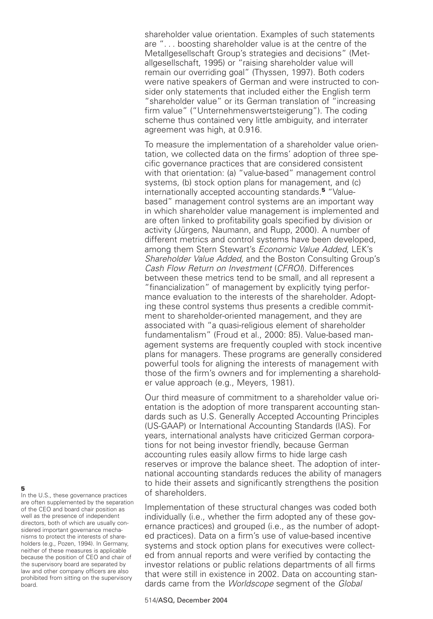shareholder value orientation. Examples of such statements are "... boosting shareholder value is at the centre of the Metallgesellschaft Group's strategies and decisions" (Metallgesellschaft, 1995) or "raising shareholder value will remain our overriding goal" (Thyssen, 1997). Both coders were native speakers of German and were instructed to consider only statements that included either the English term "shareholder value" or its German translation of "increasing firm value" ("Unternehmenswertsteigerung"). The coding scheme thus contained very little ambiguity, and interrater agreement was high, at 0.916.

To measure the implementation of a shareholder value orientation, we collected data on the firms' adoption of three specific governance practices that are considered consistent with that orientation: (a) "value-based" management control systems, (b) stock option plans for management, and (c) internationally accepted accounting standards.**<sup>5</sup>** "Valuebased" management control systems are an important way in which shareholder value management is implemented and are often linked to profitability goals specified by division or activity (Jürgens, Naumann, and Rupp, 2000). A number of different metrics and control systems have been developed, among them Stern Stewart's Economic Value Added, LEK's Shareholder Value Added, and the Boston Consulting Group's Cash Flow Return on Investment (CFROI). Differences between these metrics tend to be small, and all represent a "financialization" of management by explicitly tying performance evaluation to the interests of the shareholder. Adopting these control systems thus presents a credible commitment to shareholder-oriented management, and they are associated with "a quasi-religious element of shareholder fundamentalism" (Froud et al., 2000: 85). Value-based management systems are frequently coupled with stock incentive plans for managers. These programs are generally considered powerful tools for aligning the interests of management with those of the firm's owners and for implementing a shareholder value approach (e.g., Meyers, 1981).

Our third measure of commitment to a shareholder value orientation is the adoption of more transparent accounting standards such as U.S. Generally Accepted Accounting Principles (US-GAAP) or International Accounting Standards (IAS). For years, international analysts have criticized German corporations for not being investor friendly, because German accounting rules easily allow firms to hide large cash reserves or improve the balance sheet. The adoption of international accounting standards reduces the ability of managers to hide their assets and significantly strengthens the position of shareholders.

Implementation of these structural changes was coded both individually (i.e., whether the firm adopted any of these governance practices) and grouped (i.e., as the number of adopted practices). Data on a firm's use of value-based incentive systems and stock option plans for executives were collected from annual reports and were verified by contacting the investor relations or public relations departments of all firms that were still in existence in 2002. Data on accounting standards came from the Worldscope segment of the Global

#### **5**

In the U.S., these governance practices are often supplemented by the separation of the CEO and board chair position as well as the presence of independent directors, both of which are usually considered important governance mechanisms to protect the interests of shareholders (e.g., Pozen, 1994). In Germany, neither of these measures is applicable because the position of CEO and chair of the supervisory board are separated by law and other company officers are also prohibited from sitting on the supervisory board.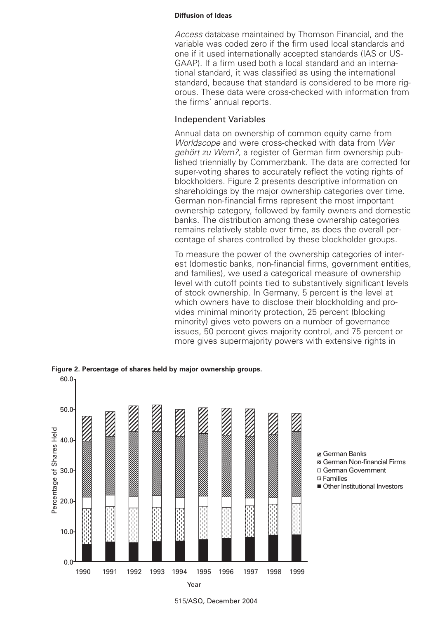Access database maintained by Thomson Financial, and the variable was coded zero if the firm used local standards and one if it used internationally accepted standards (IAS or US-GAAP). If a firm used both a local standard and an international standard, it was classified as using the international standard, because that standard is considered to be more rigorous. These data were cross-checked with information from the firms' annual reports.

# Independent Variables

Annual data on ownership of common equity came from Worldscope and were cross-checked with data from Wer gehört zu Wem?, a register of German firm ownership published triennially by Commerzbank. The data are corrected for super-voting shares to accurately reflect the voting rights of blockholders. Figure 2 presents descriptive information on shareholdings by the major ownership categories over time. German non-financial firms represent the most important ownership category, followed by family owners and domestic banks. The distribution among these ownership categories remains relatively stable over time, as does the overall percentage of shares controlled by these blockholder groups.

To measure the power of the ownership categories of interest (domestic banks, non-financial firms, government entities, and families), we used a categorical measure of ownership level with cutoff points tied to substantively significant levels of stock ownership. In Germany, 5 percent is the level at which owners have to disclose their blockholding and provides minimal minority protection, 25 percent (blocking minority) gives veto powers on a number of governance issues, 50 percent gives majority control, and 75 percent or more gives supermajority powers with extensive rights in



**Figure 2. Percentage of shares held by major ownership groups.**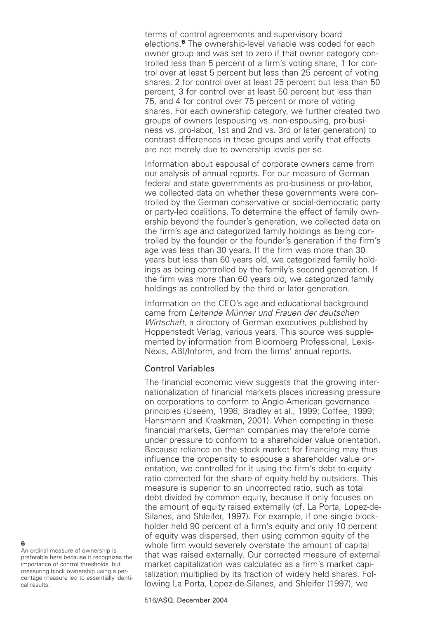terms of control agreements and supervisory board elections.**<sup>6</sup>** The ownership-level variable was coded for each owner group and was set to zero if that owner category controlled less than 5 percent of a firm's voting share, 1 for control over at least 5 percent but less than 25 percent of voting shares, 2 for control over at least 25 percent but less than 50 percent, 3 for control over at least 50 percent but less than 75, and 4 for control over 75 percent or more of voting shares. For each ownership category, we further created two groups of owners (espousing vs. non-espousing, pro-business vs. pro-labor, 1st and 2nd vs. 3rd or later generation) to contrast differences in these groups and verify that effects are not merely due to ownership levels per se.

Information about espousal of corporate owners came from our analysis of annual reports. For our measure of German federal and state governments as pro-business or pro-labor, we collected data on whether these governments were controlled by the German conservative or social-democratic party or party-led coalitions. To determine the effect of family ownership beyond the founder's generation, we collected data on the firm's age and categorized family holdings as being controlled by the founder or the founder's generation if the firm's age was less than 30 years. If the firm was more than 30 years but less than 60 years old, we categorized family holdings as being controlled by the family's second generation. If the firm was more than 60 years old, we categorized family holdings as controlled by the third or later generation.

Information on the CEO's age and educational background came from Leitende Münner und Frauen der deutschen Wirtschaft, a directory of German executives published by Hoppenstedt Verlag, various years. This source was supplemented by information from Bloomberg Professional, Lexis-Nexis, ABI/Inform, and from the firms' annual reports.

# Control Variables

The financial economic view suggests that the growing internationalization of financial markets places increasing pressure on corporations to conform to Anglo-American governance principles (Useem, 1998; Bradley et al., 1999; Coffee, 1999; Hansmann and Kraakman, 2001). When competing in these financial markets, German companies may therefore come under pressure to conform to a shareholder value orientation. Because reliance on the stock market for financing may thus influence the propensity to espouse a shareholder value orientation, we controlled for it using the firm's debt-to-equity ratio corrected for the share of equity held by outsiders. This measure is superior to an uncorrected ratio, such as total debt divided by common equity, because it only focuses on the amount of equity raised externally (cf. La Porta, Lopez-de-Silanes, and Shleifer, 1997). For example, if one single blockholder held 90 percent of a firm's equity and only 10 percent of equity was dispersed, then using common equity of the whole firm would severely overstate the amount of capital that was raised externally. Our corrected measure of external market capitalization was calculated as a firm's market capitalization multiplied by its fraction of widely held shares. Following La Porta, Lopez-de-Silanes, and Shleifer (1997), we

An ordinal measure of ownership is preferable here because it recognizes the importance of control thresholds, but measuring block ownership using a percentage measure led to essentially identical results.

**6**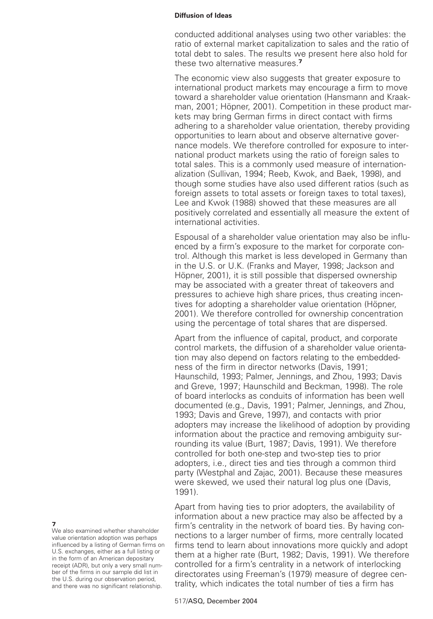conducted additional analyses using two other variables: the ratio of external market capitalization to sales and the ratio of total debt to sales. The results we present here also hold for these two alternative measures.**<sup>7</sup>**

The economic view also suggests that greater exposure to international product markets may encourage a firm to move toward a shareholder value orientation (Hansmann and Kraakman, 2001; Höpner, 2001). Competition in these product markets may bring German firms in direct contact with firms adhering to a shareholder value orientation, thereby providing opportunities to learn about and observe alternative governance models. We therefore controlled for exposure to international product markets using the ratio of foreign sales to total sales. This is a commonly used measure of internationalization (Sullivan, 1994; Reeb, Kwok, and Baek, 1998), and though some studies have also used different ratios (such as foreign assets to total assets or foreign taxes to total taxes), Lee and Kwok (1988) showed that these measures are all positively correlated and essentially all measure the extent of international activities.

Espousal of a shareholder value orientation may also be influenced by a firm's exposure to the market for corporate control. Although this market is less developed in Germany than in the U.S. or U.K. (Franks and Mayer, 1998; Jackson and Höpner, 2001), it is still possible that dispersed ownership may be associated with a greater threat of takeovers and pressures to achieve high share prices, thus creating incentives for adopting a shareholder value orientation (Höpner, 2001). We therefore controlled for ownership concentration using the percentage of total shares that are dispersed.

Apart from the influence of capital, product, and corporate control markets, the diffusion of a shareholder value orientation may also depend on factors relating to the embeddedness of the firm in director networks (Davis, 1991; Haunschild, 1993; Palmer, Jennings, and Zhou, 1993; Davis and Greve, 1997; Haunschild and Beckman, 1998). The role of board interlocks as conduits of information has been well documented (e.g., Davis, 1991; Palmer, Jennings, and Zhou, 1993; Davis and Greve, 1997), and contacts with prior adopters may increase the likelihood of adoption by providing information about the practice and removing ambiguity surrounding its value (Burt, 1987; Davis, 1991). We therefore controlled for both one-step and two-step ties to prior adopters, i.e., direct ties and ties through a common third party (Westphal and Zajac, 2001). Because these measures were skewed, we used their natural log plus one (Davis, 1991).

Apart from having ties to prior adopters, the availability of information about a new practice may also be affected by a firm's centrality in the network of board ties. By having connections to a larger number of firms, more centrally located firms tend to learn about innovations more quickly and adopt them at a higher rate (Burt, 1982; Davis, 1991). We therefore controlled for a firm's centrality in a network of interlocking directorates using Freeman's (1979) measure of degree centrality, which indicates the total number of ties a firm has

**7**

We also examined whether shareholder value orientation adoption was perhaps influenced by a listing of German firms on U.S. exchanges, either as a full listing or in the form of an American depositary receipt (ADR), but only a very small number of the firms in our sample did list in the U.S. during our observation period, and there was no significant relationship.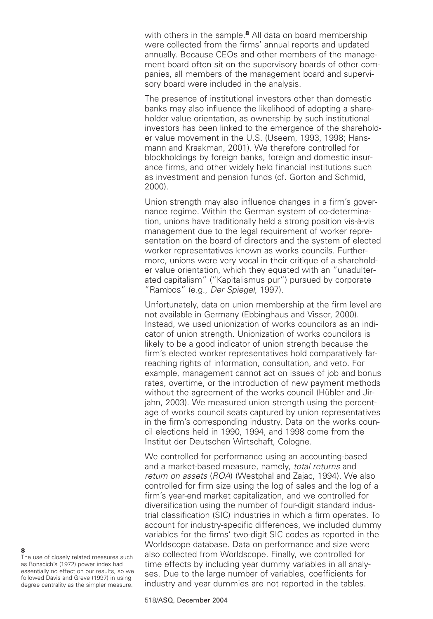with others in the sample.**<sup>8</sup>** All data on board membership were collected from the firms' annual reports and updated annually. Because CEOs and other members of the management board often sit on the supervisory boards of other companies, all members of the management board and supervisory board were included in the analysis.

The presence of institutional investors other than domestic banks may also influence the likelihood of adopting a shareholder value orientation, as ownership by such institutional investors has been linked to the emergence of the shareholder value movement in the U.S. (Useem, 1993, 1998; Hansmann and Kraakman, 2001). We therefore controlled for blockholdings by foreign banks, foreign and domestic insurance firms, and other widely held financial institutions such as investment and pension funds (cf. Gorton and Schmid, 2000).

Union strength may also influence changes in a firm's governance regime. Within the German system of co-determination, unions have traditionally held a strong position vis-à-vis management due to the legal requirement of worker representation on the board of directors and the system of elected worker representatives known as works councils. Furthermore, unions were very vocal in their critique of a shareholder value orientation, which they equated with an "unadulterated capitalism" ("Kapitalismus pur") pursued by corporate "Rambos" (e.g., Der Spiegel, 1997).

Unfortunately, data on union membership at the firm level are not available in Germany (Ebbinghaus and Visser, 2000). Instead, we used unionization of works councilors as an indicator of union strength. Unionization of works councilors is likely to be a good indicator of union strength because the firm's elected worker representatives hold comparatively farreaching rights of information, consultation, and veto. For example, management cannot act on issues of job and bonus rates, overtime, or the introduction of new payment methods without the agreement of the works council (Hübler and Jirjahn, 2003). We measured union strength using the percentage of works council seats captured by union representatives in the firm's corresponding industry. Data on the works council elections held in 1990, 1994, and 1998 come from the Institut der Deutschen Wirtschaft, Cologne.

We controlled for performance using an accounting-based and a market-based measure, namely, total returns and return on assets (ROA) (Westphal and Zajac, 1994). We also controlled for firm size using the log of sales and the log of a firm's year-end market capitalization, and we controlled for diversification using the number of four-digit standard industrial classification (SIC) industries in which a firm operates. To account for industry-specific differences, we included dummy variables for the firms' two-digit SIC codes as reported in the Worldscope database. Data on performance and size were also collected from Worldscope. Finally, we controlled for time effects by including year dummy variables in all analyses. Due to the large number of variables, coefficients for industry and year dummies are not reported in the tables.

**8**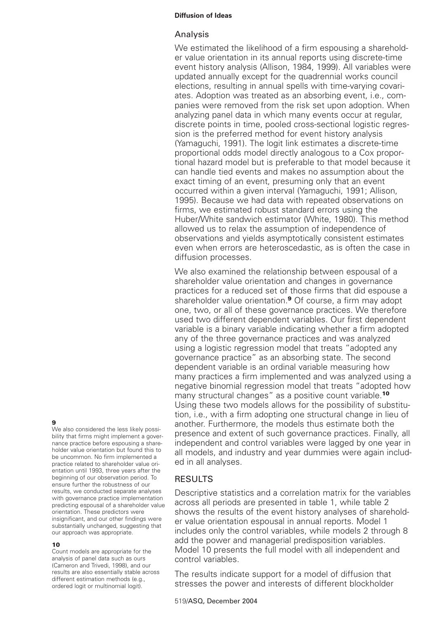# Analysis

We estimated the likelihood of a firm espousing a shareholder value orientation in its annual reports using discrete-time event history analysis (Allison, 1984, 1999). All variables were updated annually except for the quadrennial works council elections, resulting in annual spells with time-varying covariates. Adoption was treated as an absorbing event, i.e., companies were removed from the risk set upon adoption. When analyzing panel data in which many events occur at regular, discrete points in time, pooled cross-sectional logistic regression is the preferred method for event history analysis (Yamaguchi, 1991). The logit link estimates a discrete-time proportional odds model directly analogous to a Cox proportional hazard model but is preferable to that model because it can handle tied events and makes no assumption about the exact timing of an event, presuming only that an event occurred within a given interval (Yamaguchi, 1991; Allison, 1995). Because we had data with repeated observations on firms, we estimated robust standard errors using the Huber/White sandwich estimator (White, 1980). This method allowed us to relax the assumption of independence of observations and yields asymptotically consistent estimates even when errors are heteroscedastic, as is often the case in diffusion processes.

We also examined the relationship between espousal of a shareholder value orientation and changes in governance practices for a reduced set of those firms that did espouse a shareholder value orientation.**<sup>9</sup>** Of course, a firm may adopt one, two, or all of these governance practices. We therefore used two different dependent variables. Our first dependent variable is a binary variable indicating whether a firm adopted any of the three governance practices and was analyzed using a logistic regression model that treats "adopted any governance practice" as an absorbing state. The second dependent variable is an ordinal variable measuring how many practices a firm implemented and was analyzed using a negative binomial regression model that treats "adopted how many structural changes" as a positive count variable.**<sup>10</sup>** Using these two models allows for the possibility of substitution, i.e., with a firm adopting one structural change in lieu of another. Furthermore, the models thus estimate both the presence and extent of such governance practices. Finally, all independent and control variables were lagged by one year in all models, and industry and year dummies were again included in all analyses.

# RESULTS

Descriptive statistics and a correlation matrix for the variables across all periods are presented in table 1, while table 2 shows the results of the event history analyses of shareholder value orientation espousal in annual reports. Model 1 includes only the control variables, while models 2 through 8 add the power and managerial predisposition variables. Model 10 presents the full model with all independent and control variables.

The results indicate support for a model of diffusion that stresses the power and interests of different blockholder

# **9**

We also considered the less likely possibility that firms might implement a governance practice before espousing a shareholder value orientation but found this to be uncommon. No firm implemented a practice related to shareholder value orientation until 1993, three years after the beginning of our observation period. To ensure further the robustness of our results, we conducted separate analyses with governance practice implementation predicting espousal of a shareholder value orientation. These predictors were insignificant, and our other findings were substantially unchanged, suggesting that our approach was appropriate.

#### **10**

Count models are appropriate for the analysis of panel data such as ours (Cameron and Trivedi, 1998), and our results are also essentially stable across different estimation methods (e.g., ordered logit or multinomial logit).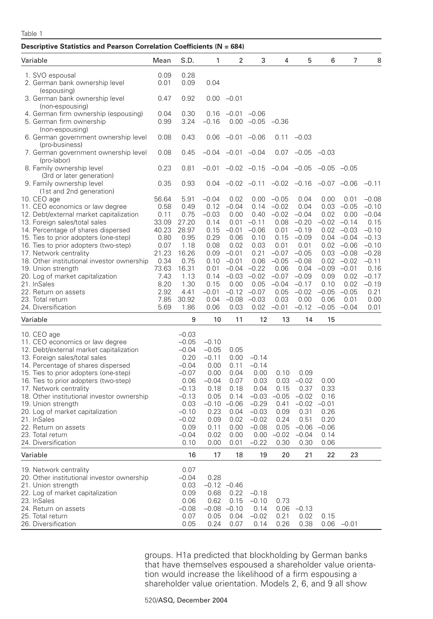## Table 1

| Descriptive Statistics and Pearson Correlation Coefficients (N = 684)                                                                                                                                                                                                                                                                                                                                                                                                  |                                                                                                                           |                                                                                                                                                    |                                                                                                                               |                                                                                                                                                 |                                                                                                                        |                                                                                                                                              |                                                                                                                                                    |                                                                    |                                                                                                                                                                                         |                                                                                                                                                    |
|------------------------------------------------------------------------------------------------------------------------------------------------------------------------------------------------------------------------------------------------------------------------------------------------------------------------------------------------------------------------------------------------------------------------------------------------------------------------|---------------------------------------------------------------------------------------------------------------------------|----------------------------------------------------------------------------------------------------------------------------------------------------|-------------------------------------------------------------------------------------------------------------------------------|-------------------------------------------------------------------------------------------------------------------------------------------------|------------------------------------------------------------------------------------------------------------------------|----------------------------------------------------------------------------------------------------------------------------------------------|----------------------------------------------------------------------------------------------------------------------------------------------------|--------------------------------------------------------------------|-----------------------------------------------------------------------------------------------------------------------------------------------------------------------------------------|----------------------------------------------------------------------------------------------------------------------------------------------------|
| Variable                                                                                                                                                                                                                                                                                                                                                                                                                                                               | Mean                                                                                                                      | S.D.                                                                                                                                               | 1                                                                                                                             | 2                                                                                                                                               | 3                                                                                                                      | 4                                                                                                                                            | 5                                                                                                                                                  | 6                                                                  | 7                                                                                                                                                                                       | 8                                                                                                                                                  |
| 1. SVO espousal<br>2. German bank ownership level                                                                                                                                                                                                                                                                                                                                                                                                                      | 0.09<br>0.01                                                                                                              | 0.28<br>0.09                                                                                                                                       | 0.04                                                                                                                          |                                                                                                                                                 |                                                                                                                        |                                                                                                                                              |                                                                                                                                                    |                                                                    |                                                                                                                                                                                         |                                                                                                                                                    |
| (espousing)<br>3. German bank ownership level<br>(non-espousing)                                                                                                                                                                                                                                                                                                                                                                                                       | 0.47                                                                                                                      | 0.92                                                                                                                                               |                                                                                                                               | $0.00 - 0.01$                                                                                                                                   |                                                                                                                        |                                                                                                                                              |                                                                                                                                                    |                                                                    |                                                                                                                                                                                         |                                                                                                                                                    |
| 4. German firm ownership (espousing)<br>5. German firm ownership<br>(non-espousing)                                                                                                                                                                                                                                                                                                                                                                                    | 0.04<br>0.99                                                                                                              | 0.30<br>3.24                                                                                                                                       | 0.16<br>$-0.16$                                                                                                               | $-0.01 -0.06$                                                                                                                                   | $0.00 -0.05$                                                                                                           | $-0.36$                                                                                                                                      |                                                                                                                                                    |                                                                    |                                                                                                                                                                                         |                                                                                                                                                    |
| 6. German government ownership level<br>(pro-business)                                                                                                                                                                                                                                                                                                                                                                                                                 | 0.08                                                                                                                      | 0.43                                                                                                                                               | 0.06                                                                                                                          | $-0.01 -0.06$                                                                                                                                   |                                                                                                                        | 0.11                                                                                                                                         | $-0.03$                                                                                                                                            |                                                                    |                                                                                                                                                                                         |                                                                                                                                                    |
| 7. German government ownership level<br>(pro-labor)                                                                                                                                                                                                                                                                                                                                                                                                                    | 0.08                                                                                                                      | 0.45                                                                                                                                               |                                                                                                                               | $-0.04$ $-0.01$ $-0.04$                                                                                                                         |                                                                                                                        | 0.07                                                                                                                                         | $-0.05$                                                                                                                                            | $-0.03$                                                            |                                                                                                                                                                                         |                                                                                                                                                    |
| 8. Family ownership level<br>(3rd or later generation)                                                                                                                                                                                                                                                                                                                                                                                                                 | 0.23                                                                                                                      | 0.81                                                                                                                                               | $-0.01$                                                                                                                       |                                                                                                                                                 | $-0.02$ $-0.15$                                                                                                        | $-0.04$ $-0.05$                                                                                                                              |                                                                                                                                                    | $-0.05$ $-0.05$                                                    |                                                                                                                                                                                         |                                                                                                                                                    |
| 9. Family ownership level<br>(1st and 2nd generation)                                                                                                                                                                                                                                                                                                                                                                                                                  | 0.35                                                                                                                      | 0.93                                                                                                                                               | 0.04                                                                                                                          |                                                                                                                                                 | $-0.02$ $-0.11$                                                                                                        |                                                                                                                                              | $-0.02 -0.16$                                                                                                                                      | $-0.07 -0.06$                                                      |                                                                                                                                                                                         | $-0.11$                                                                                                                                            |
| 10. CEO age<br>11. CEO economics or law degree<br>12. Debt/external market capitalization<br>13. Foreign sales/total sales<br>14. Percentage of shares dispersed<br>15. Ties to prior adopters (one-step)<br>16. Ties to prior adopters (two-step)<br>17. Network centrality<br>18. Other institutional investor ownership<br>19. Union strength<br>20. Log of market capitalization<br>21. InSales<br>22. Return on assets<br>23. Total return<br>24. Diversification | 56.64<br>0.58<br>0.11<br>33.09<br>40.23<br>0.80<br>0.07<br>21.23<br>0.34<br>73.63<br>7.43<br>8.20<br>2.92<br>7.85<br>5.69 | 5.91<br>0.49<br>0.75<br>27.20<br>28.97<br>0.95<br>1.18<br>16.26<br>0.75<br>16.31<br>1.13<br>1.30<br>4.41<br>30.92<br>1.86                          | $-0.04$<br>0.12<br>$-0.03$<br>0.14<br>0.15<br>0.29<br>0.08<br>0.09<br>0.10<br>0.01<br>0.14<br>0.15<br>$-0.01$<br>0.04<br>0.06 | 0.02<br>$-0.04$<br>0.00<br>0.01<br>$-0.01$<br>0.06<br>0.02<br>$-0.01$<br>$-0.01$<br>$-0.04$<br>$-0.03 -0.02$<br>0.00<br>$-0.08$ $-0.03$<br>0.03 | 0.00<br>0.14<br>0.40<br>$-0.11$<br>$-0.06$<br>0.10<br>0.03<br>0.21<br>0.06<br>$-0.22$<br>0.05<br>$-0.12 -0.07$<br>0.02 | $-0.05$<br>$-0.02$<br>$-0.02$<br>0.08<br>0.01<br>0.15<br>0.01<br>$-0.07$<br>$-0.05$<br>0.06<br>$-0.07$<br>$-0.04$<br>0.05<br>0.03<br>$-0.01$ | 0.04<br>0.04<br>$-0.04$<br>$-0.20$<br>$-0.19$<br>$-0.09$<br>0.01<br>$-0.05$<br>$-0.08$<br>0.04<br>$-0.09$<br>$-0.17$<br>$-0.02$<br>0.00<br>$-0.12$ | 0.00<br>0.03<br>0.02<br>0.09<br>0.10<br>$-0.05$<br>0.06<br>$-0.05$ | 0.01<br>$-0.05$<br>0.00<br>$-0.02 -0.14$<br>$0.02 -0.03$<br>$0.04 -0.04$<br>$0.02 -0.06$<br>$0.03 -0.08$<br>$0.02 -0.02$<br>$-0.09 -0.01$<br>0.02<br>0.02<br>$-0.05$<br>0.01<br>$-0.04$ | $-0.08$<br>$-0.10$<br>$-0.04$<br>0.15<br>$-0.10$<br>$-0.13$<br>$-0.10$<br>$-0.28$<br>$-0.11$<br>0.16<br>$-0.17$<br>$-0.19$<br>0.21<br>0.00<br>0.01 |
| Variable                                                                                                                                                                                                                                                                                                                                                                                                                                                               |                                                                                                                           | 9                                                                                                                                                  | 10                                                                                                                            | 11                                                                                                                                              | 12                                                                                                                     | 13                                                                                                                                           | 14                                                                                                                                                 | 15                                                                 |                                                                                                                                                                                         |                                                                                                                                                    |
| 10. CEO age<br>11. CEO economics or law degree<br>12. Debt/external market capitalization<br>13. Foreign sales/total sales<br>14. Percentage of shares dispersed<br>15. Ties to prior adopters (one-step)<br>16. Ties to prior adopters (two-step)<br>17. Network centrality<br>18. Other institutional investor ownership<br>19. Union strength<br>20. Log of market capitalization<br>21. InSales<br>22. Return on assets<br>23. Total return<br>24. Diversification |                                                                                                                           | $-0.03$<br>$-0.05$<br>$-0.04$<br>0.20<br>$-0.04$<br>$-0.07$<br>0.06<br>$-0.13$<br>$-0.13$<br>0.03<br>$-0.10$<br>$-0.02$<br>0.09<br>$-0.04$<br>0.10 | $-0.10$<br>$-0.05$<br>$-0.11$<br>0.00<br>0.00<br>$-0.04$<br>0.18<br>0.05<br>0.23<br>0.09<br>0.11<br>0.02<br>0.00              | 0.05<br>0.00<br>0.11<br>0.04<br>0.07<br>0.18<br>0.14<br>$-0.10 -0.06$<br>0.04<br>0.02<br>0.00<br>0.01                                           | $-0.14$<br>$-0.14$<br>0.00<br>0.03<br>0.04<br>$-0.03$<br>$-0.29$<br>$-0.03$<br>$-0.02$<br>$0.00 - 0.08$<br>$-0.22$     | 0.10<br>0.03<br>0.15<br>$-0.05$<br>0.41<br>0.09<br>0.24<br>$0.00 -0.02 -0.04$<br>0.30                                                        | 0.09<br>$-0.02$<br>0.37<br>$-0.02$<br>$-0.02$<br>0.31<br>0.51<br>$0.05 -0.06 -0.06$<br>0.30                                                        | 0.00<br>0.33<br>0.16<br>$-0.01$<br>0.26<br>0.20<br>0.14<br>0.06    |                                                                                                                                                                                         |                                                                                                                                                    |
| Variable                                                                                                                                                                                                                                                                                                                                                                                                                                                               |                                                                                                                           | 16                                                                                                                                                 | 17                                                                                                                            | 18                                                                                                                                              | 19                                                                                                                     | 20                                                                                                                                           | 21                                                                                                                                                 | 22                                                                 | 23                                                                                                                                                                                      |                                                                                                                                                    |
| 19. Network centrality<br>20. Other institutional investor ownership<br>21. Union strength<br>22. Log of market capitalization<br>23. InSales<br>24. Return on assets<br>25. Total return<br>26. Diversification                                                                                                                                                                                                                                                       |                                                                                                                           | 0.07<br>$-0.04$<br>0.03<br>0.09<br>0.06<br>$-0.08$<br>0.07<br>0.05                                                                                 | 0.28<br>0.68<br>0.62<br>0.05<br>0.24                                                                                          | $-0.12 -0.46$<br>0.22<br>0.15<br>$-0.08$ $-0.10$<br>0.04<br>0.07                                                                                | $-0.18$<br>$-0.10$<br>0.14<br>$-0.02$<br>0.14                                                                          | 0.73<br>0.21<br>0.26                                                                                                                         | $0.06 -0.13$<br>0.02<br>0.38                                                                                                                       | 0.15                                                               | $0.06 -0.01$                                                                                                                                                                            |                                                                                                                                                    |

groups. H1a predicted that blockholding by German banks that have themselves espoused a shareholder value orientation would increase the likelihood of a firm espousing a shareholder value orientation. Models 2, 6, and 9 all show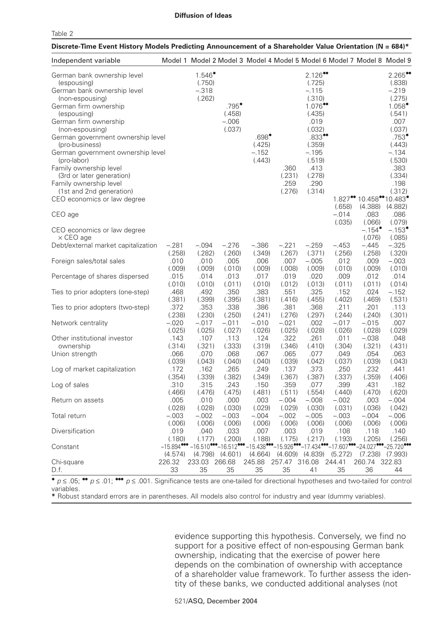|--|--|

| Discrete-Time Event History Models Predicting Announcement of a Shareholder Value Orientation (N = 684)*                                                                                                                                                                                                                                                                                                                                |                          |                                                                                                                                                      |                                                 |                                               |                                  |                                                                                                                                                                                      |                             |                                                                |                                                                                                                                                                                               |
|-----------------------------------------------------------------------------------------------------------------------------------------------------------------------------------------------------------------------------------------------------------------------------------------------------------------------------------------------------------------------------------------------------------------------------------------|--------------------------|------------------------------------------------------------------------------------------------------------------------------------------------------|-------------------------------------------------|-----------------------------------------------|----------------------------------|--------------------------------------------------------------------------------------------------------------------------------------------------------------------------------------|-----------------------------|----------------------------------------------------------------|-----------------------------------------------------------------------------------------------------------------------------------------------------------------------------------------------|
| Independent variable                                                                                                                                                                                                                                                                                                                                                                                                                    |                          | Model 1 Model 2 Model 3 Model 4 Model 5 Model 6 Model 7 Model 8 Model 9                                                                              |                                                 |                                               |                                  |                                                                                                                                                                                      |                             |                                                                |                                                                                                                                                                                               |
| German bank ownership level<br>(espousing)<br>German bank ownership level<br>(non-espousing)<br>German firm ownership<br>(espousing)<br>German firm ownership<br>(non-espousing)<br>German government ownership level<br>(pro-business)<br>German government ownership level<br>(pro-labor)<br>Family ownership level<br>(3rd or later generation)<br>Family ownership level<br>(1st and 2nd generation)<br>CEO economics or law degree |                          | $1.546$ <sup>*</sup><br>(.750)<br>$-.318$<br>(.262)                                                                                                  | $.795^{\bullet}$<br>(.458)<br>$-.006$<br>(.037) | $.698^\bullet$<br>(.425)<br>$-.152$<br>(.443) | .360<br>(.231)<br>.259<br>(.276) | $2.126$ <sup>**</sup><br>(.725)<br>$-.115$<br>(.310)<br>1.076<br>(.435)<br>.019<br>(.032)<br>$.833$ <sup>**</sup><br>(.359)<br>$-.195$<br>(.519)<br>.413<br>(.278)<br>.290<br>(.314) |                             | $1.827$ <sup>**</sup> 10.458 <sup>**</sup> 10.483 <sup>*</sup> | $2.265$ <sup>**</sup><br>(.838)<br>$-.219$<br>(.275)<br>$1.058^{\circ}$<br>(.541)<br>.007<br>(.037)<br>$.753$ <sup>*</sup><br>(.443)<br>$-.134$<br>(.530)<br>.383<br>(.334)<br>.198<br>(.312) |
| CEO age<br>CEO economics or law degree                                                                                                                                                                                                                                                                                                                                                                                                  |                          |                                                                                                                                                      |                                                 |                                               |                                  |                                                                                                                                                                                      | (.658)<br>$-.014$<br>(.035) | (4.388)<br>.083<br>(.066)<br>$-.154^{\circ}$                   | (4.882)<br>.086<br>(.079)<br>$-.153$ <sup>*</sup>                                                                                                                                             |
| $\times$ CEO age<br>Debt/external market capitalization                                                                                                                                                                                                                                                                                                                                                                                 | $-.281$                  | $-.094$                                                                                                                                              | $-.276$                                         | $-.386$                                       | $-.221$                          | $-.259$                                                                                                                                                                              | $-.453$                     | (.076)<br>$-.445$                                              | (.085)<br>$-.325$                                                                                                                                                                             |
| Foreign sales/total sales                                                                                                                                                                                                                                                                                                                                                                                                               | (.258)<br>.010<br>(.009) | (.282)<br>.010<br>(.009)                                                                                                                             | (.260)<br>.005<br>(.010)                        | (.349)<br>.006<br>(.009)                      | (.267)<br>.007<br>(.008)         | (.371)<br>$-.005$<br>(.009)                                                                                                                                                          | (.256)<br>.012<br>(.010)    | (.258)<br>.009<br>(.009)                                       | (.320)<br>$-.003$<br>(.010)                                                                                                                                                                   |
| Percentage of shares dispersed                                                                                                                                                                                                                                                                                                                                                                                                          | .015<br>(.010)           | .014<br>(.010)                                                                                                                                       | .013<br>(.011)                                  | .017<br>(.010)                                | .019<br>(.012)                   | .020<br>(.013)                                                                                                                                                                       | .009<br>(.011)              | .012<br>(.011)                                                 | .014<br>(.014)                                                                                                                                                                                |
| Ties to prior adopters (one-step)                                                                                                                                                                                                                                                                                                                                                                                                       | .468<br>(.381)           | .492<br>(.399)                                                                                                                                       | .350<br>(.395)                                  | .383<br>(.381)                                | .551<br>(.416)                   | .325<br>(.455)                                                                                                                                                                       | .152<br>(.402)              | .024<br>(.469)                                                 | $-.152$<br>(.531)                                                                                                                                                                             |
| Ties to prior adopters (two-step)                                                                                                                                                                                                                                                                                                                                                                                                       | .372<br>(.238)           | .353<br>(.230)                                                                                                                                       | .338<br>(.250)                                  | .386<br>(.241)                                | .381<br>(.276)                   | .368<br>(.297)                                                                                                                                                                       | .211<br>(.244)              | .201<br>(.240)                                                 | .113<br>(.301)                                                                                                                                                                                |
| Network centrality                                                                                                                                                                                                                                                                                                                                                                                                                      | $-.020$<br>(.025)        | $-.017$<br>(.025)                                                                                                                                    | $-.011$<br>(.027)                               | $-.010$<br>(.026)                             | $-.021$<br>(.025)                | .002<br>(.028)                                                                                                                                                                       | $-.017$<br>(.026)           | $-.015$<br>(.028)                                              | .007<br>(.029)                                                                                                                                                                                |
| Other institutional investor<br>ownership                                                                                                                                                                                                                                                                                                                                                                                               | .143<br>(.314)<br>.066   | .107<br>(.321)                                                                                                                                       | .113<br>(.333)<br>.068                          | .124<br>(.319)<br>.067                        | .322<br>(.346)                   | .261<br>(.410)<br>.077                                                                                                                                                               | .011<br>(.304)<br>.049      | $-.038$<br>(.321)                                              | .048<br>(.431)                                                                                                                                                                                |
| Union strength<br>Log of market capitalization                                                                                                                                                                                                                                                                                                                                                                                          | (.039)<br>.172           | .070<br>(.043)<br>.162                                                                                                                               | (.040)<br>.265                                  | (.040)<br>.249                                | .065<br>(.039)<br>.137           | (.042)<br>.373                                                                                                                                                                       | (.037)<br>.250              | .054<br>(.039)<br>.232                                         | .063<br>(.043)<br>.441                                                                                                                                                                        |
| Log of sales                                                                                                                                                                                                                                                                                                                                                                                                                            | (.354)<br>.310           | (.339)<br>.315                                                                                                                                       | (.382)<br>.243                                  | (.349)<br>.150                                | (.367)<br>.359                   | (.387)<br>.077                                                                                                                                                                       | (.337)<br>.399              | (.359)<br>.431                                                 | (.406)<br>.182                                                                                                                                                                                |
| Return on assets                                                                                                                                                                                                                                                                                                                                                                                                                        | (.466)<br>.005           | (.476)<br>.010                                                                                                                                       | (.475)<br>.000                                  | (.481)<br>.003                                | (.511)<br>$-.004$                | (.554)<br>$-.008$                                                                                                                                                                    | (.440)<br>$-.002$           | (.470)<br>.003                                                 | (.620)<br>$-.004$                                                                                                                                                                             |
| Total return                                                                                                                                                                                                                                                                                                                                                                                                                            | (.028)<br>$-.003$        | (.028)<br>$-.002$                                                                                                                                    | (.030)<br>$-.003$                               | (.029)<br>$-.004$                             | (.029)<br>$-.002$                | (.030)<br>$-.005$                                                                                                                                                                    | (.031)<br>$-.003$           | (.036)<br>$-.004$                                              | (.042)<br>$-.006$                                                                                                                                                                             |
| Diversification                                                                                                                                                                                                                                                                                                                                                                                                                         | (.006)<br>.019<br>(.180) | (.006)<br>.040<br>(.177)                                                                                                                             | (.006)<br>.033                                  | (.006)<br>.007                                | (.006)<br>.003                   | (.006)<br>.019                                                                                                                                                                       | (.006)<br>.108              | (.006)<br>.118                                                 | (.006)<br>.140                                                                                                                                                                                |
| Constant                                                                                                                                                                                                                                                                                                                                                                                                                                | (4.574)                  | $-15.894$ *** $-16.510$ *** $-16.512$ *** $-15.438$ *** $-15.926$ *** $-17.434$ *** $-17.607$ *** $-24.027$ *** $-25.720$ ***<br>$(4.798)$ $(4.601)$ | (.200)                                          | (.188)                                        | (.175)                           | (.217)<br>$(4.664)$ $(4.609)$ $(4.839)$ $(5.272)$                                                                                                                                    | (.193)                      | (.205)<br>$(7.238)$ $(7.993)$                                  | (.256)                                                                                                                                                                                        |
| Chi-square<br>D.f.                                                                                                                                                                                                                                                                                                                                                                                                                      | 226.32<br>33             | 233.03 266.68<br>35                                                                                                                                  | 35                                              | 245.88<br>35                                  | 35                               | 257.47 316.08 244.41<br>41                                                                                                                                                           | 35                          | 260.74<br>36                                                   | 322.83<br>44                                                                                                                                                                                  |
| $\bullet$ p $\prime$ 05, $\bullet\bullet$ p $\prime$ 01, $\bullet\bullet$ p $\prime$ 001. Cignificance tests are and toiled for directional by pathogen and two toiled for control.                                                                                                                                                                                                                                                     |                          |                                                                                                                                                      |                                                 |                                               |                                  |                                                                                                                                                                                      |                             |                                                                |                                                                                                                                                                                               |

 $p \le 0.05$ ; ••  $p \le 0.01$ ; •••  $p \le 0.001$ . Significance tests are one-tailed for directional hypotheses and two-tailed for control variables.

**\*** Robust standard errors are in parentheses. All models also control for industry and year (dummy variables).

evidence supporting this hypothesis. Conversely, we find no support for a positive effect of non-espousing German bank ownership, indicating that the exercise of power here depends on the combination of ownership with acceptance of a shareholder value framework. To further assess the identity of these banks, we conducted additional analyses (not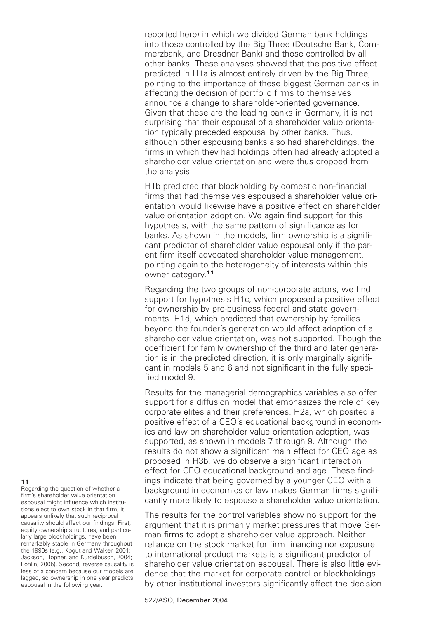reported here) in which we divided German bank holdings into those controlled by the Big Three (Deutsche Bank, Commerzbank, and Dresdner Bank) and those controlled by all other banks. These analyses showed that the positive effect predicted in H1a is almost entirely driven by the Big Three, pointing to the importance of these biggest German banks in affecting the decision of portfolio firms to themselves announce a change to shareholder-oriented governance. Given that these are the leading banks in Germany, it is not surprising that their espousal of a shareholder value orientation typically preceded espousal by other banks. Thus, although other espousing banks also had shareholdings, the firms in which they had holdings often had already adopted a shareholder value orientation and were thus dropped from the analysis.

H1b predicted that blockholding by domestic non-financial firms that had themselves espoused a shareholder value orientation would likewise have a positive effect on shareholder value orientation adoption. We again find support for this hypothesis, with the same pattern of significance as for banks. As shown in the models, firm ownership is a significant predictor of shareholder value espousal only if the parent firm itself advocated shareholder value management, pointing again to the heterogeneity of interests within this owner category.**<sup>11</sup>**

Regarding the two groups of non-corporate actors, we find support for hypothesis H1c, which proposed a positive effect for ownership by pro-business federal and state governments. H1d, which predicted that ownership by families beyond the founder's generation would affect adoption of a shareholder value orientation, was not supported. Though the coefficient for family ownership of the third and later generation is in the predicted direction, it is only marginally significant in models 5 and 6 and not significant in the fully specified model 9.

Results for the managerial demographics variables also offer support for a diffusion model that emphasizes the role of key corporate elites and their preferences. H2a, which posited a positive effect of a CEO's educational background in economics and law on shareholder value orientation adoption, was supported, as shown in models 7 through 9. Although the results do not show a significant main effect for CEO age as proposed in H3b, we do observe a significant interaction effect for CEO educational background and age. These findings indicate that being governed by a younger CEO with a background in economics or law makes German firms significantly more likely to espouse a shareholder value orientation.

The results for the control variables show no support for the argument that it is primarily market pressures that move German firms to adopt a shareholder value approach. Neither reliance on the stock market for firm financing nor exposure to international product markets is a significant predictor of shareholder value orientation espousal. There is also little evidence that the market for corporate control or blockholdings by other institutional investors significantly affect the decision

#### **11**

Regarding the question of whether a firm's shareholder value orientation espousal might influence which institutions elect to own stock in that firm, it appears unlikely that such reciprocal causality should affect our findings. First, equity ownership structures, and particularly large blockholdings, have been remarkably stable in Germany throughout the 1990s (e.g., Kogut and Walker, 2001; Jackson, Höpner, and Kurdelbusch, 2004; Fohlin, 2005). Second, reverse causality is less of a concern because our models are lagged, so ownership in one year predicts espousal in the following year.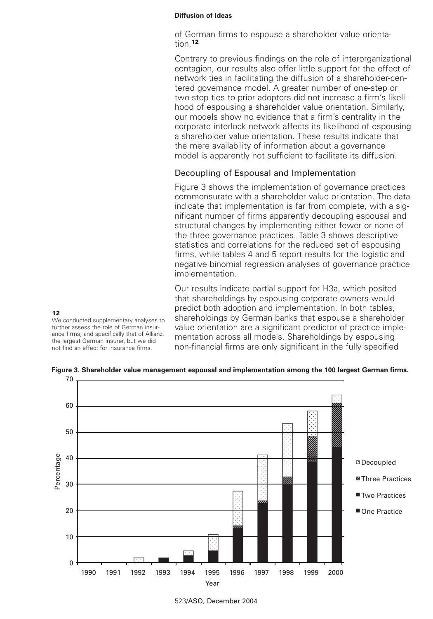of German firms to espouse a shareholder value orientation.**<sup>12</sup>**

Contrary to previous findings on the role of interorganizational contagion, our results also offer little support for the effect of network ties in facilitating the diffusion of a shareholder-centered governance model. A greater number of one-step or two-step ties to prior adopters did not increase a firm's likelihood of espousing a shareholder value orientation. Similarly, our models show no evidence that a firm's centrality in the corporate interlock network affects its likelihood of espousing a shareholder value orientation. These results indicate that the mere availability of information about a governance model is apparently not sufficient to facilitate its diffusion.

# Decoupling of Espousal and Implementation

Figure 3 shows the implementation of governance practices commensurate with a shareholder value orientation. The data indicate that implementation is far from complete, with a significant number of firms apparently decoupling espousal and structural changes by implementing either fewer or none of the three governance practices. Table 3 shows descriptive statistics and correlations for the reduced set of espousing firms, while tables 4 and 5 report results for the logistic and negative binomial regression analyses of governance practice implementation.

Our results indicate partial support for H3a, which posited that shareholdings by espousing corporate owners would predict both adoption and implementation. In both tables, shareholdings by German banks that espouse a shareholder value orientation are a significant predictor of practice implementation across all models. Shareholdings by espousing non-financial firms are only significant in the fully specified

We conducted supplementary analyses to further assess the role of German insurance firms, and specifically that of Allianz, the largest German insurer, but we did not find an effect for insurance firms.

70 **Figure 3. Shareholder value management espousal and implementation among the 100 largest German firms.**



523/ASQ, December 2004

# **12**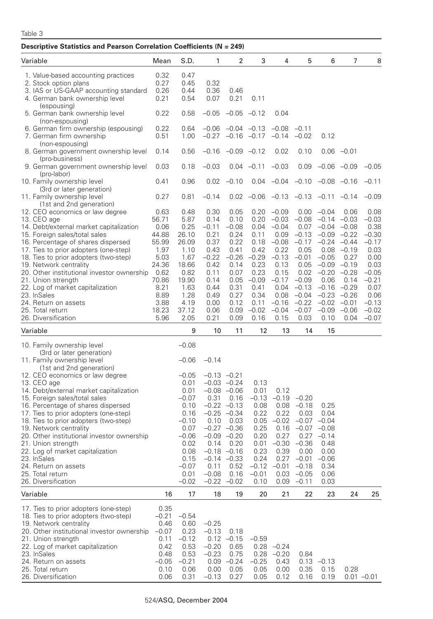| Descriptive Statistics and Pearson Correlation Coefficients (N = 249)                                                                                                                                                                                                                                                                                                                                                                                                  |                                                                                                                            |                                                                                                                                        |                                                                                                                            |                                                                                                                                                                                                 |                                                                                                                               |                                                                                                                                              |                                                                                                                                                              |                                                                                                                                                          |                                                                                                                                                       |                                                                                                                                              |
|------------------------------------------------------------------------------------------------------------------------------------------------------------------------------------------------------------------------------------------------------------------------------------------------------------------------------------------------------------------------------------------------------------------------------------------------------------------------|----------------------------------------------------------------------------------------------------------------------------|----------------------------------------------------------------------------------------------------------------------------------------|----------------------------------------------------------------------------------------------------------------------------|-------------------------------------------------------------------------------------------------------------------------------------------------------------------------------------------------|-------------------------------------------------------------------------------------------------------------------------------|----------------------------------------------------------------------------------------------------------------------------------------------|--------------------------------------------------------------------------------------------------------------------------------------------------------------|----------------------------------------------------------------------------------------------------------------------------------------------------------|-------------------------------------------------------------------------------------------------------------------------------------------------------|----------------------------------------------------------------------------------------------------------------------------------------------|
| Variable                                                                                                                                                                                                                                                                                                                                                                                                                                                               | Mean                                                                                                                       | S.D.                                                                                                                                   | 1                                                                                                                          | 2                                                                                                                                                                                               | 3                                                                                                                             | 4                                                                                                                                            | 5                                                                                                                                                            | 6                                                                                                                                                        | 7                                                                                                                                                     | 8                                                                                                                                            |
| 1. Value-based accounting practices<br>2. Stock option plans<br>3. IAS or US-GAAP accounting standard<br>4. German bank ownership level                                                                                                                                                                                                                                                                                                                                | 0.32<br>0.27<br>0.26<br>0.21                                                                                               | 0.47<br>0.45<br>0.44<br>0.54                                                                                                           | 0.32<br>0.36<br>0.07                                                                                                       | 0.46<br>0.21                                                                                                                                                                                    | 0.11                                                                                                                          |                                                                                                                                              |                                                                                                                                                              |                                                                                                                                                          |                                                                                                                                                       |                                                                                                                                              |
| (espousing)<br>5. German bank ownership level                                                                                                                                                                                                                                                                                                                                                                                                                          | 0.22                                                                                                                       | 0.58                                                                                                                                   | $-0.05$                                                                                                                    |                                                                                                                                                                                                 | $-0.05 -0.12$                                                                                                                 | 0.04                                                                                                                                         |                                                                                                                                                              |                                                                                                                                                          |                                                                                                                                                       |                                                                                                                                              |
| (non-espousing)<br>6. German firm ownership (espousing)<br>7. German firm ownership<br>(non-espousing)                                                                                                                                                                                                                                                                                                                                                                 | 0.22<br>0.51                                                                                                               | 0.64<br>1.00                                                                                                                           | $-0.06$                                                                                                                    |                                                                                                                                                                                                 | $-0.04$ $-0.13$<br>$-0.27$ $-0.16$ $-0.17$                                                                                    | $-0.08$<br>$-0.14$                                                                                                                           | $-0.11$<br>$-0.02$                                                                                                                                           | 0.12                                                                                                                                                     |                                                                                                                                                       |                                                                                                                                              |
| 8. German government ownership level<br>(pro-business)                                                                                                                                                                                                                                                                                                                                                                                                                 | 0.14                                                                                                                       | 0.56                                                                                                                                   |                                                                                                                            | $-0.16$ $-0.09$ $-0.12$                                                                                                                                                                         |                                                                                                                               | 0.02                                                                                                                                         | 0.10                                                                                                                                                         |                                                                                                                                                          | $0.06 -0.01$                                                                                                                                          |                                                                                                                                              |
| 9. German government ownership level<br>(pro-labor)                                                                                                                                                                                                                                                                                                                                                                                                                    | 0.03                                                                                                                       | 0.18                                                                                                                                   | $-0.03$                                                                                                                    |                                                                                                                                                                                                 | $0.04 -0.11$                                                                                                                  | $-0.03$                                                                                                                                      | 0.09                                                                                                                                                         |                                                                                                                                                          | $-0.06 -0.09$                                                                                                                                         | $-0.05$                                                                                                                                      |
| 10. Family ownership level<br>(3rd or later generation)                                                                                                                                                                                                                                                                                                                                                                                                                | 0.41                                                                                                                       | 0.96                                                                                                                                   | 0.02                                                                                                                       | $-0.10$                                                                                                                                                                                         |                                                                                                                               | $0.04 -0.04$                                                                                                                                 | $-0.10$ $-0.08$ $-0.16$                                                                                                                                      |                                                                                                                                                          |                                                                                                                                                       | $-0.11$                                                                                                                                      |
| 11. Family ownership level<br>(1st and 2nd generation)                                                                                                                                                                                                                                                                                                                                                                                                                 | 0.27                                                                                                                       | 0.81                                                                                                                                   | $-0.14$                                                                                                                    |                                                                                                                                                                                                 | $0.02 -0.06 -0.13 -0.13 -0.11 -0.14$                                                                                          |                                                                                                                                              |                                                                                                                                                              |                                                                                                                                                          |                                                                                                                                                       | $-0.09$                                                                                                                                      |
| 12. CEO economics or law degree<br>13. CEO age<br>14. Debt/external market capitalization<br>15. Foreign sales/total sales<br>16. Percentage of shares dispersed<br>17. Ties to prior adopters (one-step)<br>18. Ties to prior adopters (two-step)<br>19. Network centrality<br>20. Other institutional investor ownership<br>21. Union strength<br>22. Log of market capitalization<br>23. InSales<br>24. Return on assets<br>25. Total return<br>26. Diversification | 0.63<br>56.71<br>0.06<br>44.88<br>55.99<br>1.97<br>5.03<br>24.36<br>0.62<br>70.86<br>8.21<br>8.89<br>3.88<br>18.23<br>5.96 | 0.48<br>5.87<br>0.25<br>26.10<br>26.09<br>1.10<br>1.67<br>18.66<br>0.82<br>19.90<br>1.63<br>1.28<br>4.19<br>37.12<br>2.05              | 0.30<br>0.14<br>$-0.11$<br>0.21<br>0.37<br>0.43<br>$-0.22$<br>0.42<br>0.11<br>0.14<br>0.44<br>0.49<br>0.00<br>0.06<br>0.21 | 0.05<br>0.10<br>$-0.08$<br>0.24<br>0.22<br>0.41<br>$-0.26$<br>0.14<br>0.07<br>0.05<br>0.31<br>0.27<br>0.12<br>0.09<br>0.09                                                                      | 0.20<br>0.20<br>0.04<br>0.11<br>0.18<br>0.42<br>$-0.29$<br>0.23<br>0.23<br>$-0.09$<br>0.41<br>0.34<br>0.11<br>$-0.02$<br>0.16 | $-0.09$<br>$-0.03$<br>$-0.04$<br>0.09<br>$-0.08$<br>0.22<br>$-0.13$<br>0.13<br>0.15<br>$-0.17$<br>0.04<br>0.08<br>$-0.16$<br>$-0.04$<br>0.15 | 0.00 <sub>1</sub><br>$-0.08$<br>0.07<br>$-0.13$<br>$-0.17$<br>0.05<br>$-0.01$<br>0.05<br>0.02<br>$-0.09$<br>$-0.13$<br>$-0.04$<br>$-0.22$<br>$-0.07$<br>0.03 | $-0.04$<br>$-0.14$<br>$-0.04$<br>$-0.09$<br>$-0.24$<br>0.08<br>$-0.05$<br>$-0.09$<br>$-0.20$<br>0.06<br>$-0.16$<br>$-0.23$<br>$-0.02$<br>$-0.09$<br>0.10 | 0.06<br>$-0.03$<br>$-0.08$<br>$-0.22$<br>$-0.44$<br>$-0.19$<br>0.27<br>$-0.19$<br>$-0.28$<br>0.14<br>$-0.29$<br>$-0.26$<br>$-0.01$<br>$-0.06$<br>0.04 | 0.08<br>$-0.03$<br>0.38<br>$-0.30$<br>$-0.17$<br>0.03<br>0.00<br>0.03<br>$-0.05$<br>$-0.21$<br>0.07<br>0.06<br>$-0.13$<br>$-0.02$<br>$-0.07$ |
| Variable                                                                                                                                                                                                                                                                                                                                                                                                                                                               |                                                                                                                            | 9                                                                                                                                      | 10                                                                                                                         | 11                                                                                                                                                                                              | 12                                                                                                                            | 13                                                                                                                                           | 14                                                                                                                                                           | 15                                                                                                                                                       |                                                                                                                                                       |                                                                                                                                              |
| 10. Family ownership level                                                                                                                                                                                                                                                                                                                                                                                                                                             |                                                                                                                            | $-0.08$                                                                                                                                |                                                                                                                            |                                                                                                                                                                                                 |                                                                                                                               |                                                                                                                                              |                                                                                                                                                              |                                                                                                                                                          |                                                                                                                                                       |                                                                                                                                              |
| (3rd or later generation)<br>11. Family ownership level<br>(1st and 2nd generation)                                                                                                                                                                                                                                                                                                                                                                                    |                                                                                                                            | $-0.06$                                                                                                                                | $-0.14$                                                                                                                    |                                                                                                                                                                                                 |                                                                                                                               |                                                                                                                                              |                                                                                                                                                              |                                                                                                                                                          |                                                                                                                                                       |                                                                                                                                              |
| 12. CEO economics or law degree<br>13. CEO age<br>14. Debt/external market capitalization<br>15. Foreign sales/total sales<br>16. Percentage of shares dispersed<br>17. Ties to prior adopters (one-step)<br>18. Ties to prior adopters (two-step)<br>19. Network centrality<br>20. Other institutional investor ownership<br>21. Union strength<br>22. Log of market capitalization<br>23. InSales<br>24. Return on assets<br>25. Total return<br>26. Diversification |                                                                                                                            | $-0.05$<br>0.01<br>0.01<br>$-0.07$<br>0.10<br>0.16<br>$-0.10$<br>0.07<br>$-0.06$<br>0.02<br>0.08<br>0.15<br>$-0.07$<br>0.01<br>$-0.02$ | 0.31<br>0.10<br>$-0.27 -0.36$<br>0.14<br>0.11<br>$-0.08$                                                                   | $-0.13 -0.21$<br>$-0.03 -0.24$<br>$-0.08 - 0.06$<br>0.16<br>$-0.22 -0.13$<br>$-0.25 -0.34$<br>0.03<br>$-0.09 -0.20$<br>0.20<br>$-0.18 - 0.16$<br>$-0.14 -0.33$<br>0.52<br>0.16<br>$-0.22 -0.02$ | 0.13<br>0.01<br>$-0.13$<br>0.08<br>0.22<br>0.25<br>0.20<br>0.01<br>0.23<br>0.24<br>$-0.12$<br>$-0.01$<br>0.10                 | 0.12<br>$-0.19$<br>0.08<br>0.22<br>$0.05 -0.02 -0.07 -0.04$<br>0.27<br>$-0.30$<br>0.39<br>$-0.01$<br>0.03                                    | $-0.20$<br>$-0.18$<br>0.03<br>$0.16 -0.07 -0.08$<br>$-0.36$<br>0.00<br>$0.27 -0.01$<br>$-0.18$<br>$-0.05$<br>$0.09 - 0.11$                                   | 0.25<br>0.04<br>$0.27 -0.14$<br>0.48<br>0.00<br>$-0.06$<br>0.34<br>0.06<br>0.03                                                                          |                                                                                                                                                       |                                                                                                                                              |
| Variable                                                                                                                                                                                                                                                                                                                                                                                                                                                               | 16                                                                                                                         | 17                                                                                                                                     | 18                                                                                                                         | 19                                                                                                                                                                                              | 20                                                                                                                            | 21                                                                                                                                           | 22                                                                                                                                                           | 23                                                                                                                                                       | 24                                                                                                                                                    | 25                                                                                                                                           |
| 17. Ties to prior adopters (one-step)<br>18. Ties to prior adopters (two-step)<br>19. Network centrality<br>20. Other institutional investor ownership<br>21. Union strength<br>22. Log of market capitalization<br>23. InSales<br>24. Return on assets<br>25. Total return<br>26. Diversification                                                                                                                                                                     | 0.35<br>$-0.21$<br>0.46<br>$-0.07$<br>0.11<br>0.42<br>0.48<br>$-0.05$<br>0.10<br>0.06                                      | $-0.54$<br>0.60<br>0.23<br>$-0.12$<br>0.53<br>0.53<br>$-0.21$<br>0.06<br>0.31                                                          | $-0.25$<br>$-0.13$<br>$-0.20$<br>$-0.23$<br>0.00<br>$-0.13$                                                                | 0.18<br>$0.12 -0.15$<br>0.65<br>0.75<br>$0.09 - 0.24$<br>0.05<br>0.27                                                                                                                           | $-0.59$<br>0.28<br>0.28<br>$-0.25$<br>0.05<br>0.05                                                                            | $-0.24$<br>$-0.20$<br>0.43<br>0.00<br>0.12                                                                                                   | 0.84<br>0.35<br>0.16                                                                                                                                         | $0.13 - 0.13$<br>0.15<br>0.19                                                                                                                            | 0.28                                                                                                                                                  | $0.01 - 0.01$                                                                                                                                |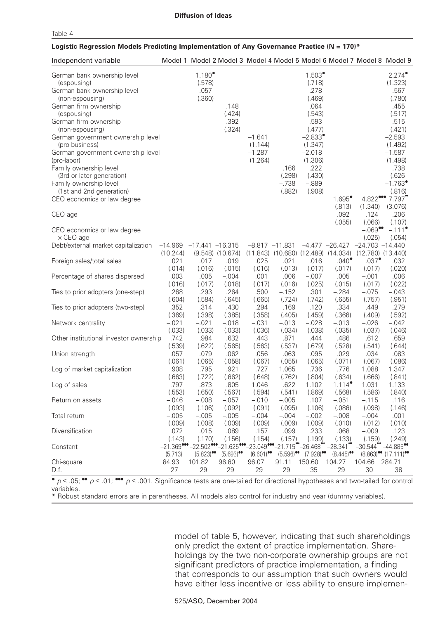|--|--|--|

### **Logistic Regression Models Predicting Implementation of Any Governance Practice (N = 170)\***

| Independent variable                                                                                                                                                                                                                                                                                                                                                                                                                                                              |                             |                                             | Model 1 Model 2 Model 3 Model 4 Model 5 Model 6 Model 7 Model 8 Model 9                  |                                            |                                             |                                                                                                                                                                                      |                                   |                                                                |                                                                                                                                                                                                                                                                         |
|-----------------------------------------------------------------------------------------------------------------------------------------------------------------------------------------------------------------------------------------------------------------------------------------------------------------------------------------------------------------------------------------------------------------------------------------------------------------------------------|-----------------------------|---------------------------------------------|------------------------------------------------------------------------------------------|--------------------------------------------|---------------------------------------------|--------------------------------------------------------------------------------------------------------------------------------------------------------------------------------------|-----------------------------------|----------------------------------------------------------------|-------------------------------------------------------------------------------------------------------------------------------------------------------------------------------------------------------------------------------------------------------------------------|
| German bank ownership level<br>(espousing)<br>German bank ownership level<br>(non-espousing)<br>German firm ownership<br>(espousing)<br>German firm ownership<br>(non-espousing)<br>German government ownership level<br>(pro-business)<br>German government ownership level<br>(pro-labor)<br>Family ownership level<br>(3rd or later generation)<br>Family ownership level<br>(1st and 2nd generation)<br>CEO economics or law degree<br>CEO age<br>CEO economics or law degree |                             | $1.180^{\circ}$<br>(.578)<br>.057<br>(.360) | .148<br>(.424)<br>$-.392$<br>(.324)                                                      | $-1.641$<br>(1.144)<br>$-1.287$<br>(1.264) | .166<br>(.298)<br>$-.738$<br>(.882)         | $1.503^{\circ}$<br>(.718)<br>.278<br>(.469)<br>.064<br>(.543)<br>$-.593$<br>(.477)<br>$-2.833$ <sup>*</sup><br>(1.347)<br>$-2.018$<br>(1.306)<br>.222<br>(.430)<br>$-.889$<br>(.908) | 1.695<br>(.813)<br>.092<br>(.055) | 4.822***<br>(1.340)<br>.124<br>(.066)<br>$-.069$ <sup>**</sup> | $2.274^{\circ}$<br>(1.323)<br>.567<br>(.780)<br>.455<br>(.517)<br>$-.515$<br>(.421)<br>$-2.593$<br>(1.492)<br>$-1.587$<br>(1.498)<br>.738<br>(.626)<br>$-1.763$ <sup>*</sup><br>(.816)<br>7.797<br>(3.076)<br>.206<br>(.107)<br>$-.111$ <sup><math>\bullet</math></sup> |
| $\times$ CEO age<br>Debt/external market capitalization                                                                                                                                                                                                                                                                                                                                                                                                                           | $-14.969$<br>(10.244)       | $-17.441 - 16.315$                          | $(9.548)$ $(10.674)$                                                                     | $-8.817 -11.831$                           | $(11.843)$ $(10.680)$ $(12.489)$ $(14.034)$ |                                                                                                                                                                                      | $-4.477 -26.427$                  | (.025)<br>$-24.703 - 14.440$<br>$(12.780)$ $(13.440)$          | (.054)                                                                                                                                                                                                                                                                  |
| Foreign sales/total sales                                                                                                                                                                                                                                                                                                                                                                                                                                                         | .021<br>(.014)              | .017<br>(.016)                              | .019<br>(.015)                                                                           | .025<br>(.016)                             | .021<br>(.013)                              | .016<br>(.017)                                                                                                                                                                       | $.040^{\bullet}$<br>(.017)        | $.037$ <sup><math>\bullet</math></sup><br>(.017)               | .032<br>(.020)                                                                                                                                                                                                                                                          |
| Percentage of shares dispersed                                                                                                                                                                                                                                                                                                                                                                                                                                                    | .003<br>(.016)              | .005<br>(.017)                              | $-.004$<br>(.018)                                                                        | .001<br>(.017)                             | .006<br>(.016)                              | $-.007$<br>(.025)                                                                                                                                                                    | .005<br>(.015)                    | $-.001$<br>(.017)                                              | .006<br>(.022)                                                                                                                                                                                                                                                          |
| Ties to prior adopters (one-step)                                                                                                                                                                                                                                                                                                                                                                                                                                                 | .268<br>(.604)              | .293<br>(.584)                              | .264<br>(.645)                                                                           | .500<br>(.665)                             | $-.152$<br>(.724)                           | .301<br>(.742)                                                                                                                                                                       | $-.284$<br>(.655)                 | $-.075$<br>(.757)                                              | $-.043$<br>(.951)                                                                                                                                                                                                                                                       |
| Ties to prior adopters (two-step)                                                                                                                                                                                                                                                                                                                                                                                                                                                 | .352<br>(.369)              | .314<br>(.398)                              | .430<br>(.385)                                                                           | .294<br>(.358)                             | .169<br>(.405)                              | .120<br>(.459)                                                                                                                                                                       | .334<br>(.366)                    | .449<br>(.409)                                                 | .279<br>(.592)                                                                                                                                                                                                                                                          |
| Network centrality                                                                                                                                                                                                                                                                                                                                                                                                                                                                | $-.021$<br>(.033)           | -.021<br>(.033)                             | $-.018$<br>(.033)                                                                        | $-.031$<br>(.036)                          | $-.013$<br>(.034)                           | $-.028$<br>(.038)                                                                                                                                                                    | $-.013$<br>(.035)                 | $-.026$<br>(.037)                                              | $-.042$<br>(.046)                                                                                                                                                                                                                                                       |
| Other institutional investor ownership                                                                                                                                                                                                                                                                                                                                                                                                                                            | .742<br>(.539)              | .984<br>(.622)                              | .632<br>(.565)                                                                           | .443<br>(.563)                             | .871<br>(.537)                              | .444<br>(.679)                                                                                                                                                                       | .486<br>(.528)                    | .612<br>(.541)                                                 | .659<br>(.644)                                                                                                                                                                                                                                                          |
| Union strength                                                                                                                                                                                                                                                                                                                                                                                                                                                                    | .057<br>(.061)              | .079<br>(.065)                              | .062<br>(.058)                                                                           | .056<br>(.067)                             | .063<br>(.055)                              | .095<br>(.065)                                                                                                                                                                       | .029<br>(.071)                    | .034<br>(.067)                                                 | .083<br>(.086)                                                                                                                                                                                                                                                          |
| Log of market capitalization                                                                                                                                                                                                                                                                                                                                                                                                                                                      | .908                        | .795                                        | .921                                                                                     | .727                                       | 1.065                                       | .736                                                                                                                                                                                 | .776<br>(.634)                    | 1.088                                                          | 1.347                                                                                                                                                                                                                                                                   |
| Log of sales                                                                                                                                                                                                                                                                                                                                                                                                                                                                      | (.663)<br>.797              | (.722)<br>.873                              | (.662)<br>.805                                                                           | (.648)<br>1.046                            | (.762)<br>.622                              | (.804)<br>1.102                                                                                                                                                                      | $1.114$ <sup>*</sup>              | (.666)<br>1.031                                                | (.841)<br>1.133                                                                                                                                                                                                                                                         |
| Return on assets                                                                                                                                                                                                                                                                                                                                                                                                                                                                  | (.553)<br>$-.046$<br>(.093) | (.650)<br>$-.008$                           | (.567)<br>$-.057$<br>(.092)                                                              | (.594)<br>$-.010$<br>(.091)                | (.541)<br>$-.005$<br>(.095)                 | (.869)<br>.107<br>(.106)                                                                                                                                                             | (.568)<br>$-.051$<br>(.086)       | (.586)<br>$-.115$<br>(.098)                                    | (.840)<br>.116<br>(.146)                                                                                                                                                                                                                                                |
| Total return                                                                                                                                                                                                                                                                                                                                                                                                                                                                      | $-.005$<br>(.009)           | (.106)<br>$-.005$<br>(.008)                 | $-.005$<br>(.009)                                                                        | $-.004$<br>(.009)                          | $-.004$<br>(.009)                           | $-.002$<br>(.009)                                                                                                                                                                    | $-.008$<br>(.010)                 | $-.004$                                                        | .001<br>(.010)                                                                                                                                                                                                                                                          |
| Diversification                                                                                                                                                                                                                                                                                                                                                                                                                                                                   | .072                        | .015                                        | .089                                                                                     | .157                                       | .099                                        | .233                                                                                                                                                                                 | .068                              | (.012)<br>$-.009$                                              | .123                                                                                                                                                                                                                                                                    |
| Constant                                                                                                                                                                                                                                                                                                                                                                                                                                                                          | (.143)                      | (.170)                                      | (.156)<br>$-21.369$ *** $-22.502$ *** $-21.625$ *** $-23.049$ *** $-21.715$ ** $-26.468$ | (.154)                                     | (.157)                                      | (.199)                                                                                                                                                                               | (.133)<br>$-28.341$               | (.159)<br>$-30.544$                                            | (.249)<br>$^{\circ}$ –44.885 $^{\circ}$                                                                                                                                                                                                                                 |
| Chi-square<br>D.f.<br>0 n < 05.00<br>n < 01.000<br>n < 001                                                                                                                                                                                                                                                                                                                                                                                                                        | (5.713)<br>84.93<br>27      | $(5.823)$ <sup>00</sup><br>101.82<br>29     | $(5.693)$ <sup>00</sup><br>96.60<br>29                                                   | $(6.601)$ <sup>00</sup><br>96.07<br>29     | $(5.596)$ <sup>00</sup><br>91.11<br>29      | $(7.928)$ <sup>oo</sup><br>150.60<br>35                                                                                                                                              | (8.445)<br>104.27<br>29           | 104.66<br>30                                                   | $(8.863)$ <sup>00</sup> $(17.111)$ <sup>00</sup><br>284.71<br>38<br>Significance tests are ano tailed for directional hypotheses and two tailed for central                                                                                                             |

 $p \le 0$ ,  $p \le 01$ ;  $p \le 001$ . Significance tests are one-tailed for directional hypotheses and two-tailed for control variables.

**\*** Robust standard errors are in parentheses. All models also control for industry and year (dummy variables).

model of table 5, however, indicating that such shareholdings only predict the extent of practice implementation. Shareholdings by the two non-corporate ownership groups are not significant predictors of practice implementation, a finding that corresponds to our assumption that such owners would have either less incentive or less ability to ensure implemen-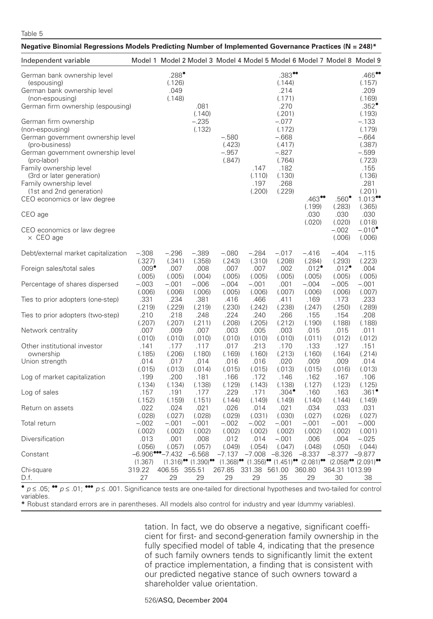# Table 5

| *Negative Binomial Regressions Models Predicting Number of Implemented Governance Practices (N = 248)                                                                                                                                                                                                                                                                                                                                                                                              |                   |                                                                         |                                                                       |                                        |                                  |                                                                                                                                                                       |                                                                                                                       |                                                                   |                                                                                                                                                                                                                                         |
|----------------------------------------------------------------------------------------------------------------------------------------------------------------------------------------------------------------------------------------------------------------------------------------------------------------------------------------------------------------------------------------------------------------------------------------------------------------------------------------------------|-------------------|-------------------------------------------------------------------------|-----------------------------------------------------------------------|----------------------------------------|----------------------------------|-----------------------------------------------------------------------------------------------------------------------------------------------------------------------|-----------------------------------------------------------------------------------------------------------------------|-------------------------------------------------------------------|-----------------------------------------------------------------------------------------------------------------------------------------------------------------------------------------------------------------------------------------|
| Independent variable                                                                                                                                                                                                                                                                                                                                                                                                                                                                               |                   | Model 1 Model 2 Model 3 Model 4 Model 5 Model 6 Model 7 Model 8 Model 9 |                                                                       |                                        |                                  |                                                                                                                                                                       |                                                                                                                       |                                                                   |                                                                                                                                                                                                                                         |
| German bank ownership level<br>(espousing)<br>German bank ownership level<br>(non-espousing)<br>German firm ownership (espousing)<br>German firm ownership<br>(non-espousing)<br>German government ownership level<br>(pro-business)<br>German government ownership level<br>(pro-labor)<br>Family ownership level<br>(3rd or later generation)<br>Family ownership level<br>(1st and 2nd generation)<br>CEO economics or law degree<br>CEO age<br>CEO economics or law degree<br>$\times$ CEO age |                   | $.288^{\bullet}$<br>(.126)<br>.049<br>(.148)                            | .081<br>(.140)<br>$-.235$<br>(.132)                                   | $-.580$<br>(.423)<br>$-.957$<br>(.847) | .147<br>(.110)<br>.197<br>(.200) | $.383$ <sup>00</sup><br>(.144)<br>.214<br>(.171)<br>.270<br>(.201)<br>$-.077$<br>(.172)<br>$-.668$<br>(.417)<br>$-.827$<br>(.764)<br>.182<br>(.130)<br>.268<br>(.229) | $.463$ <sup>00</sup><br>(.199)<br>.030<br>(.020)                                                                      | $.560^{\bullet}$<br>(.283)<br>.030<br>(.020)<br>$-.002$<br>(.006) | $.465$ <sup>**</sup><br>(.157)<br>.209<br>(.169)<br>.352<br>(.193)<br>$-.133$<br>(.179)<br>$-.664$<br>(.387)<br>$-.599$<br>(.723)<br>.155<br>(.136)<br>.281<br>(.201)<br>1.013<br>(.365)<br>.030<br>(.018)<br>$-.010^{\circ}$<br>(.006) |
| Debt/external market capitalization                                                                                                                                                                                                                                                                                                                                                                                                                                                                | $-.308$           | $-.296$                                                                 | -.389                                                                 | $-.080$                                | $-.284$                          | $-.017$                                                                                                                                                               | $-.416$                                                                                                               | $-.404$                                                           | $-.115$                                                                                                                                                                                                                                 |
|                                                                                                                                                                                                                                                                                                                                                                                                                                                                                                    | (.327)            | (.341)                                                                  | (.358)                                                                | (.243)                                 | (.310)                           | (.208)                                                                                                                                                                | (.284)                                                                                                                | (.293)                                                            | (.223)                                                                                                                                                                                                                                  |
| Foreign sales/total sales                                                                                                                                                                                                                                                                                                                                                                                                                                                                          | $.009^{\bullet}$  | .007                                                                    | .008                                                                  | .007                                   | .007                             | .002                                                                                                                                                                  | $.012$ <sup><math>\bullet</math></sup>                                                                                | .012                                                              | .004                                                                                                                                                                                                                                    |
|                                                                                                                                                                                                                                                                                                                                                                                                                                                                                                    | (.005)            | (.005)                                                                  | (.004)                                                                | (.005)                                 | (.005)                           | (.005)                                                                                                                                                                | (.005)                                                                                                                | (.005)                                                            | (.005)                                                                                                                                                                                                                                  |
| Percentage of shares dispersed                                                                                                                                                                                                                                                                                                                                                                                                                                                                     | $-.003$           | $-.001$                                                                 | $-.006$                                                               | $-.004$                                | $-.001$                          | .001                                                                                                                                                                  | $-.004$                                                                                                               | $-.005$                                                           | $-.001$                                                                                                                                                                                                                                 |
|                                                                                                                                                                                                                                                                                                                                                                                                                                                                                                    | (.006)            | (.006)                                                                  | (.006)                                                                | (.005)                                 | (.006)                           | (.007)                                                                                                                                                                | (.006)                                                                                                                | (.006)                                                            | (.007)                                                                                                                                                                                                                                  |
| Ties to prior adopters (one-step)                                                                                                                                                                                                                                                                                                                                                                                                                                                                  | .331              | .234                                                                    | .381                                                                  | .416                                   | .466                             | .411                                                                                                                                                                  | .169                                                                                                                  | .173                                                              | .233                                                                                                                                                                                                                                    |
|                                                                                                                                                                                                                                                                                                                                                                                                                                                                                                    | (.219)            | (.229)                                                                  | (.219)                                                                | (.230)                                 | (.242)                           | (.238)                                                                                                                                                                | (.247)                                                                                                                | (.250)                                                            | (.289)                                                                                                                                                                                                                                  |
| Ties to prior adopters (two-step)                                                                                                                                                                                                                                                                                                                                                                                                                                                                  | .210              | .218                                                                    | .248                                                                  | .224                                   | .240                             | .266                                                                                                                                                                  | .155                                                                                                                  | .154                                                              | .208                                                                                                                                                                                                                                    |
|                                                                                                                                                                                                                                                                                                                                                                                                                                                                                                    | (.207)            | (.207)                                                                  | (.211)                                                                | (.208)                                 | (.205)                           | (.212)                                                                                                                                                                | (.190)                                                                                                                | (.188)                                                            | (.188)                                                                                                                                                                                                                                  |
| Network centrality                                                                                                                                                                                                                                                                                                                                                                                                                                                                                 | .007              | .009                                                                    | .007                                                                  | .003                                   | .005                             | .003                                                                                                                                                                  | .015                                                                                                                  | .015                                                              | .011                                                                                                                                                                                                                                    |
|                                                                                                                                                                                                                                                                                                                                                                                                                                                                                                    | (.010)            | (.010)                                                                  | (.010)                                                                | (.010)                                 | (.010)                           | (.010)                                                                                                                                                                | (.011)                                                                                                                | (.012)                                                            | (.012)                                                                                                                                                                                                                                  |
| Other institutional investor                                                                                                                                                                                                                                                                                                                                                                                                                                                                       | .141              | .177                                                                    | .117                                                                  | .017                                   | .213                             | .170                                                                                                                                                                  | .133                                                                                                                  | .127                                                              | .151                                                                                                                                                                                                                                    |
| ownership                                                                                                                                                                                                                                                                                                                                                                                                                                                                                          | (.185)            | (.206)                                                                  | (.180)                                                                | (.169)                                 | (.160)                           | (.213)                                                                                                                                                                | (.160)                                                                                                                | (.164)                                                            | (.214)                                                                                                                                                                                                                                  |
| Union strength                                                                                                                                                                                                                                                                                                                                                                                                                                                                                     | .014              | .017                                                                    | .014                                                                  | .016                                   | .016                             | .020                                                                                                                                                                  | .009                                                                                                                  | .009                                                              | .014                                                                                                                                                                                                                                    |
|                                                                                                                                                                                                                                                                                                                                                                                                                                                                                                    | (.015)            | (.013)                                                                  | (.014)                                                                | (.015)                                 | (.015)                           | (.013)                                                                                                                                                                | (.015)                                                                                                                | (.016)                                                            | (.013)                                                                                                                                                                                                                                  |
| Log of market capitalization                                                                                                                                                                                                                                                                                                                                                                                                                                                                       | .199              | .200                                                                    | .181                                                                  | .166                                   | .172                             | .146                                                                                                                                                                  | .162                                                                                                                  | .167                                                              | .106                                                                                                                                                                                                                                    |
|                                                                                                                                                                                                                                                                                                                                                                                                                                                                                                    | (.134)            | (.134)                                                                  | (.138)                                                                | (.129)                                 | (.143)                           | (.138)                                                                                                                                                                | (.127)                                                                                                                | (.123)                                                            | (.125)                                                                                                                                                                                                                                  |
| Log of sales                                                                                                                                                                                                                                                                                                                                                                                                                                                                                       | .157              | .191                                                                    | .177                                                                  | .229                                   | .171                             | $.304^{\bullet}$                                                                                                                                                      | .160                                                                                                                  | .163                                                              | $.361$ <sup>*</sup>                                                                                                                                                                                                                     |
| Return on assets                                                                                                                                                                                                                                                                                                                                                                                                                                                                                   | (.152)            | (.159)                                                                  | (.151)                                                                | (.144)                                 | (.149)                           | (.149)                                                                                                                                                                | (.140)                                                                                                                | (.144)                                                            | (.149)                                                                                                                                                                                                                                  |
|                                                                                                                                                                                                                                                                                                                                                                                                                                                                                                    | .022              | .024                                                                    | .021                                                                  | .026                                   | .014                             | .021                                                                                                                                                                  | .034                                                                                                                  | .033                                                              | .031                                                                                                                                                                                                                                    |
|                                                                                                                                                                                                                                                                                                                                                                                                                                                                                                    | (.028)            | (.027)                                                                  | (.028)                                                                | (.029)                                 | (.031)                           | (.030)                                                                                                                                                                | (.027)                                                                                                                | (.026)                                                            | (.027)                                                                                                                                                                                                                                  |
| Total return                                                                                                                                                                                                                                                                                                                                                                                                                                                                                       | $-.002$           | $-.001$                                                                 | $-.001$                                                               | $-.002$                                | $-.002$                          | $-.001$                                                                                                                                                               | $-.001$                                                                                                               | $-.001$                                                           | $-.000$                                                                                                                                                                                                                                 |
|                                                                                                                                                                                                                                                                                                                                                                                                                                                                                                    | (.002)            | (.002)                                                                  | (.002)                                                                | (.002)                                 | (.002)                           | (.002)                                                                                                                                                                | (.002)                                                                                                                | (.002)                                                            | (.001)                                                                                                                                                                                                                                  |
| Diversification                                                                                                                                                                                                                                                                                                                                                                                                                                                                                    | .013              | .001                                                                    | .008                                                                  | .012                                   | .014                             | $-.001$                                                                                                                                                               | .006                                                                                                                  | .004                                                              | $-.025$                                                                                                                                                                                                                                 |
| Constant                                                                                                                                                                                                                                                                                                                                                                                                                                                                                           | (.056)<br>(1.367) | (.057)<br>$-6.906$ <sup>eco</sup> $-7.432$                              | (.057)<br>$-6.568$<br>$(1.316)$ <sup>oo</sup> $(1.390)$ <sup>oo</sup> | (.049)<br>$-7.137$                     | (.054)<br>$-7.008$               | (.047)<br>$-8.326$                                                                                                                                                    | (.048)<br>$-8.337$<br>$(1.368)$ <sup>oo</sup> $(1.356)$ <sup>oo</sup> $(1.451)$ <sup>oo</sup> $(2.081)$ <sup>oo</sup> | (.050)<br>$-8.377$                                                | (.044)<br>$-9.877$<br>$(2.058)$ <sup>oo</sup> $(2.091)$ <sup>oo</sup>                                                                                                                                                                   |
| Chi-square<br>D.f.                                                                                                                                                                                                                                                                                                                                                                                                                                                                                 | 319.22<br>27      | 406.55 355.51<br>29                                                     | 29                                                                    | 267.85<br>29                           | 331.38 561.00<br>29              | 35                                                                                                                                                                    | 360.80<br>29                                                                                                          | 364.31 1013.99<br>30                                              | 38                                                                                                                                                                                                                                      |
| $p \le .05;$<br>$p \le .01;$ ***<br>$p \leq 0.001$ . Significance tests are one-tailed for directional hypotheses and two-tailed for control                                                                                                                                                                                                                                                                                                                                                       |                   |                                                                         |                                                                       |                                        |                                  |                                                                                                                                                                       |                                                                                                                       |                                                                   |                                                                                                                                                                                                                                         |

variables.

**\*** Robust standard errors are in parentheses. All models also control for industry and year (dummy variables).

tation. In fact, we do observe a negative, significant coefficient for first- and second-generation family ownership in the fully specified model of table 4, indicating that the presence of such family owners tends to significantly limit the extent of practice implementation, a finding that is consistent with our predicted negative stance of such owners toward a shareholder value orientation.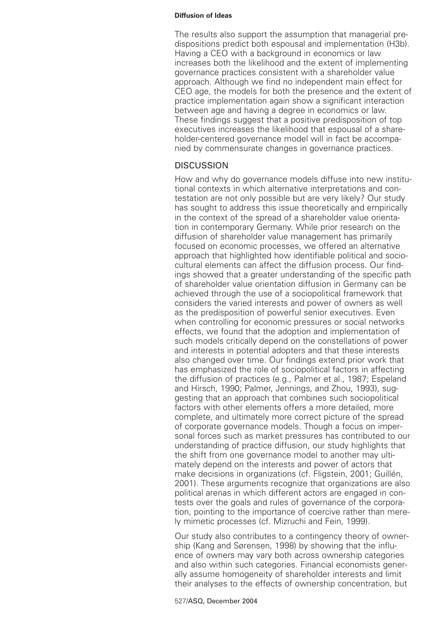The results also support the assumption that managerial predispositions predict both espousal and implementation (H3b). Having a CEO with a background in economics or law increases both the likelihood and the extent of implementing governance practices consistent with a shareholder value approach. Although we find no independent main effect for CEO age, the models for both the presence and the extent of practice implementation again show a significant interaction between age and having a degree in economics or law. These findings suggest that a positive predisposition of top executives increases the likelihood that espousal of a shareholder-centered governance model will in fact be accompanied by commensurate changes in governance practices.

# **DISCUSSION**

How and why do governance models diffuse into new institutional contexts in which alternative interpretations and contestation are not only possible but are very likely? Our study has sought to address this issue theoretically and empirically in the context of the spread of a shareholder value orientation in contemporary Germany. While prior research on the diffusion of shareholder value management has primarily focused on economic processes, we offered an alternative approach that highlighted how identifiable political and sociocultural elements can affect the diffusion process. Our findings showed that a greater understanding of the specific path of shareholder value orientation diffusion in Germany can be achieved through the use of a sociopolitical framework that considers the varied interests and power of owners as well as the predisposition of powerful senior executives. Even when controlling for economic pressures or social networks effects, we found that the adoption and implementation of such models critically depend on the constellations of power and interests in potential adopters and that these interests also changed over time. Our findings extend prior work that has emphasized the role of sociopolitical factors in affecting the diffusion of practices (e.g., Palmer et al., 1987; Espeland and Hirsch, 1990; Palmer, Jennings, and Zhou, 1993), suggesting that an approach that combines such sociopolitical factors with other elements offers a more detailed, more complete, and ultimately more correct picture of the spread of corporate governance models. Though a focus on impersonal forces such as market pressures has contributed to our understanding of practice diffusion, our study highlights that the shift from one governance model to another may ultimately depend on the interests and power of actors that make decisions in organizations (cf. Fligstein, 2001; Guillén, 2001). These arguments recognize that organizations are also political arenas in which different actors are engaged in contests over the goals and rules of governance of the corporation, pointing to the importance of coercive rather than merely mimetic processes (cf. Mizruchi and Fein, 1999).

Our study also contributes to a contingency theory of ownership (Kang and Sørensen, 1998) by showing that the influence of owners may vary both across ownership categories and also within such categories. Financial economists generally assume homogeneity of shareholder interests and limit their analyses to the effects of ownership concentration, but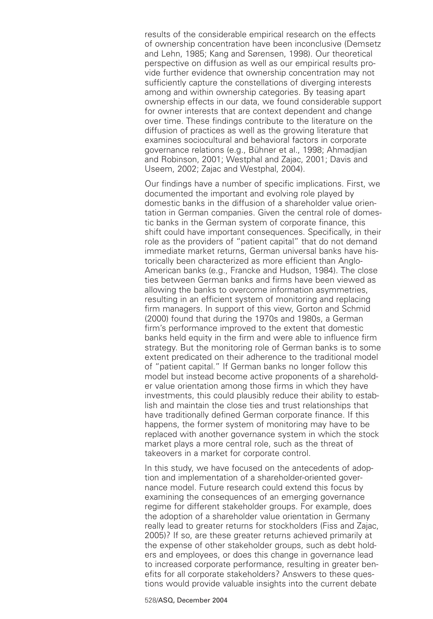results of the considerable empirical research on the effects of ownership concentration have been inconclusive (Demsetz and Lehn, 1985; Kang and Sørensen, 1998). Our theoretical perspective on diffusion as well as our empirical results provide further evidence that ownership concentration may not sufficiently capture the constellations of diverging interests among and within ownership categories. By teasing apart ownership effects in our data, we found considerable support for owner interests that are context dependent and change over time. These findings contribute to the literature on the diffusion of practices as well as the growing literature that examines sociocultural and behavioral factors in corporate governance relations (e.g., Bühner et al., 1998; Ahmadjian and Robinson, 2001; Westphal and Zajac, 2001; Davis and Useem, 2002; Zajac and Westphal, 2004).

Our findings have a number of specific implications. First, we documented the important and evolving role played by domestic banks in the diffusion of a shareholder value orientation in German companies. Given the central role of domestic banks in the German system of corporate finance, this shift could have important consequences. Specifically, in their role as the providers of "patient capital" that do not demand immediate market returns, German universal banks have historically been characterized as more efficient than Anglo-American banks (e.g., Francke and Hudson, 1984). The close ties between German banks and firms have been viewed as allowing the banks to overcome information asymmetries, resulting in an efficient system of monitoring and replacing firm managers. In support of this view, Gorton and Schmid (2000) found that during the 1970s and 1980s, a German firm's performance improved to the extent that domestic banks held equity in the firm and were able to influence firm strategy. But the monitoring role of German banks is to some extent predicated on their adherence to the traditional model of "patient capital." If German banks no longer follow this model but instead become active proponents of a shareholder value orientation among those firms in which they have investments, this could plausibly reduce their ability to establish and maintain the close ties and trust relationships that have traditionally defined German corporate finance. If this happens, the former system of monitoring may have to be replaced with another governance system in which the stock market plays a more central role, such as the threat of takeovers in a market for corporate control.

In this study, we have focused on the antecedents of adoption and implementation of a shareholder-oriented governance model. Future research could extend this focus by examining the consequences of an emerging governance regime for different stakeholder groups. For example, does the adoption of a shareholder value orientation in Germany really lead to greater returns for stockholders (Fiss and Zajac, 2005)? If so, are these greater returns achieved primarily at the expense of other stakeholder groups, such as debt holders and employees, or does this change in governance lead to increased corporate performance, resulting in greater benefits for all corporate stakeholders? Answers to these questions would provide valuable insights into the current debate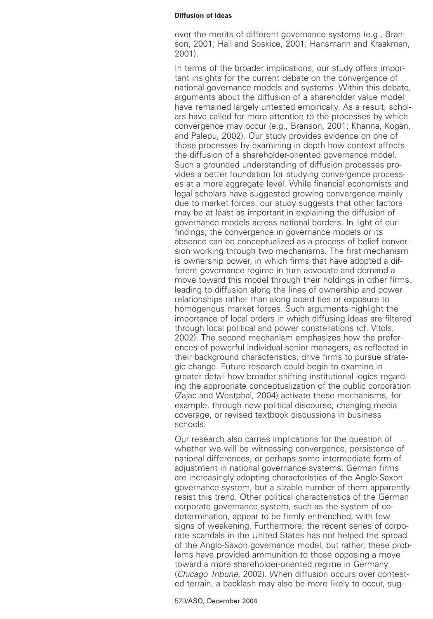over the merits of different governance systems (e.g., Branson, 2001; Hall and Soskice, 2001; Hansmann and Kraakman, 2001).

In terms of the broader implications, our study offers important insights for the current debate on the convergence of national governance models and systems. Within this debate, arguments about the diffusion of a shareholder value model have remained largely untested empirically. As a result, scholars have called for more attention to the processes by which convergence may occur (e.g., Branson, 2001; Khanna, Kogan, and Palepu, 2002). Our study provides evidence on one of those processes by examining in depth how context affects the diffusion of a shareholder-oriented governance model. Such a grounded understanding of diffusion processes provides a better foundation for studying convergence processes at a more aggregate level. While financial economists and legal scholars have suggested growing convergence mainly due to market forces, our study suggests that other factors may be at least as important in explaining the diffusion of governance models across national borders. In light of our findings, the convergence in governance models or its absence can be conceptualized as a process of belief conversion working through two mechanisms. The first mechanism is ownership power, in which firms that have adopted a different governance regime in turn advocate and demand a move toward this model through their holdings in other firms, leading to diffusion along the lines of ownership and power relationships rather than along board ties or exposure to homogenous market forces. Such arguments highlight the importance of local orders in which diffusing ideas are filtered through local political and power constellations (cf. Vitols, 2002). The second mechanism emphasizes how the preferences of powerful individual senior managers, as reflected in their background characteristics, drive firms to pursue strategic change. Future research could begin to examine in greater detail how broader shifting institutional logics regarding the appropriate conceptualization of the public corporation (Zajac and Westphal, 2004) activate these mechanisms, for example, through new political discourse, changing media coverage, or revised textbook discussions in business schools.

Our research also carries implications for the question of whether we will be witnessing convergence, persistence of national differences, or perhaps some intermediate form of adjustment in national governance systems. German firms are increasingly adopting characteristics of the Anglo-Saxon governance system, but a sizable number of them apparently resist this trend. Other political characteristics of the German corporate governance system, such as the system of codetermination, appear to be firmly entrenched, with few signs of weakening. Furthermore, the recent series of corporate scandals in the United States has not helped the spread of the Anglo-Saxon governance model, but rather, these problems have provided ammunition to those opposing a move toward a more shareholder-oriented regime in Germany (Chicago Tribune, 2002). When diffusion occurs over contested terrain, a backlash may also be more likely to occur, sug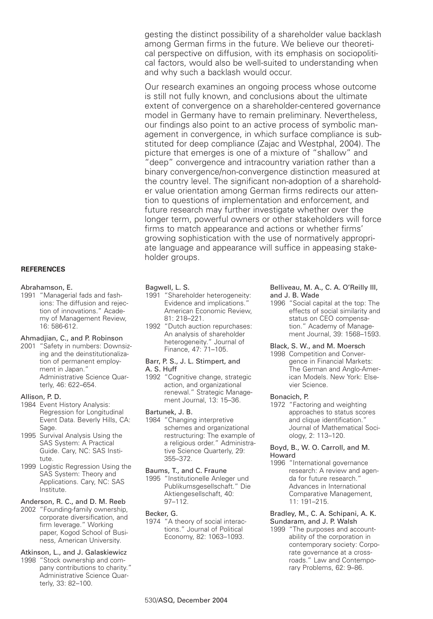gesting the distinct possibility of a shareholder value backlash among German firms in the future. We believe our theoretical perspective on diffusion, with its emphasis on sociopolitical factors, would also be well-suited to understanding when and why such a backlash would occur.

Our research examines an ongoing process whose outcome is still not fully known, and conclusions about the ultimate extent of convergence on a shareholder-centered governance model in Germany have to remain preliminary. Nevertheless, our findings also point to an active process of symbolic management in convergence, in which surface compliance is substituted for deep compliance (Zajac and Westphal, 2004). The picture that emerges is one of a mixture of "shallow" and "deep" convergence and intracountry variation rather than a binary convergence/non-convergence distinction measured at the country level. The significant non-adoption of a shareholder value orientation among German firms redirects our attention to questions of implementation and enforcement, and future research may further investigate whether over the longer term, powerful owners or other stakeholders will force firms to match appearance and actions or whether firms' growing sophistication with the use of normatively appropriate language and appearance will suffice in appeasing stakeholder groups.

### **REFERENCES**

#### Abrahamson, E.

1991 "Managerial fads and fashions: The diffusion and rejection of innovations." Academy of Management Review, 16: 586-612.

# Ahmadjian, C., and P. Robinson

2001 "Safety in numbers: Downsizing and the deinstitutionalization of permanent employment in Japan." Administrative Science Quarterly, 46: 622–654.

#### Allison, P. D.

- 1984 Event History Analysis: Regression for Longitudinal Event Data. Beverly Hills, CA: Sage.
- 1995 Survival Analysis Using the SAS System: A Practical Guide. Cary, NC: SAS Institute.
- 1999 Logistic Regression Using the SAS System: Theory and Applications. Cary, NC: SAS Institute.

# Anderson, R. C., and D. M. Reeb

2002 "Founding-family ownership, corporate diversification, and firm leverage." Working paper, Kogod School of Business, American University.

### Atkinson, L., and J. Galaskiewicz

1998 "Stock ownership and company contributions to charity." Administrative Science Quarterly, 33: 82–100.

### Bagwell, L. S.

- 1991 "Shareholder heterogeneity: Evidence and implications." American Economic Review, 81: 218–221.
- 1992 "Dutch auction repurchases: An analysis of shareholder heterogeneity." Journal of Finance, 47: 71–105.

#### Barr, P. S., J. L. Stimpert, and A. S. Huff

- 
- 1992 "Cognitive change, strategic action, and organizational renewal." Strategic Management Journal, 13: 15–36.

#### Bartunek, J. B.

1984 "Changing interpretive schemes and organizational restructuring: The example of a religious order." Administrative Science Quarterly, 29: 355–372.

# Baums, T., and C. Fraune

1995 "Institutionelle Anleger und Publikumsgesellschaft." Die Aktiengesellschaft, 40: 97–112.

#### Becker, G.

1974 "A theory of social interactions." Journal of Political Economy, 82: 1063–1093.

### Belliveau, M. A., C. A. O'Reilly III, and J. B. Wade

1996 "Social capital at the top: The effects of social similarity and status on CEO compensation." Academy of Management Journal, 39: 1568–1593.

## Black, S. W., and M. Moersch

1998 Competition and Convergence in Financial Markets: The German and Anglo-American Models. New York: Elsevier Science.

#### Bonacich, P.

1972 "Factoring and weighting approaches to status scores and clique identification." Journal of Mathematical Sociology, 2: 113–120.

#### Boyd, B., W. O. Carroll, and M. Howard

1996 "International governance research: A review and agenda for future research." Advances in International Comparative Management, 11: 191–215.

#### Bradley, M., C. A. Schipani, A. K. Sundaram, and J. P. Walsh

1999 "The purposes and accountability of the corporation in contemporary society: Corporate governance at a crossroads." Law and Contemporary Problems, 62: 9–86.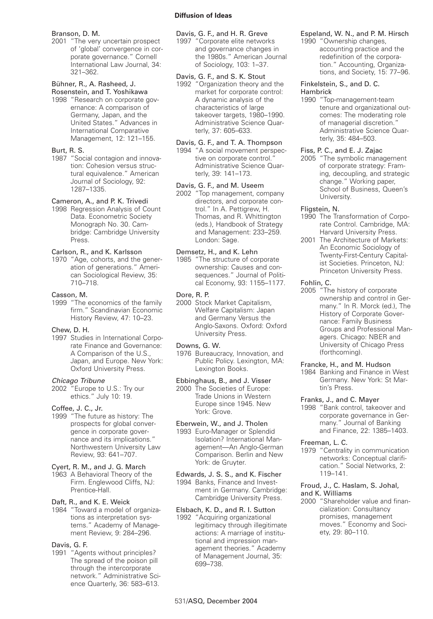#### Branson, D. M.

2001 "The very uncertain prospect of 'global' convergence in corporate governance." Cornell International Law Journal, 34: 321–362.

#### Bühner, R., A. Rasheed, J. Rosenstein, and T. Yoshikawa

1998 "Research on corporate governance: A comparison of Germany, Japan, and the United States." Advances in International Comparative Management, 12: 121–155.

# Burt, R. S.

1987 "Social contagion and innovation: Cohesion versus structural equivalence." American Journal of Sociology, 92: 1287–1335.

# Cameron, A., and P. K. Trivedi

1998 Regression Analysis of Count Data. Econometric Society Monograph No. 30. Cambridge: Cambridge University Press.

# Carlson, R., and K. Karlsson

1970 "Age, cohorts, and the generation of generations." American Sociological Review, 35: 710–718.

### Casson, M.

1999 "The economics of the family firm." Scandinavian Economic History Review, 47: 10–23.

# Chew, D. H.

1997 Studies in International Corporate Finance and Governance: A Comparison of the U.S., Japan, and Europe. New York: Oxford University Press.

#### Chicago Tribune

2002 "Europe to U.S.: Try our ethics." July 10: 19.

# Coffee, J. C., Jr.

1999 "The future as history: The prospects for global convergence in corporate governance and its implications." Northwestern University Law Review, 93: 641–707.

# Cyert, R. M., and J. G. March

1963 A Behavioral Theory of the Firm. Englewood Cliffs, NJ: Prentice-Hall.

# Daft, R., and K. E. Weick

1984 "Toward a model of organizations as interpretation systems." Academy of Management Review, 9: 284–296.

#### Davis, G. F.

1991 "Agents without principles? The spread of the poison pill through the intercorporate network." Administrative Science Quarterly, 36: 583–613.

# Davis, G. F., and H. R. Greve

1997 "Corporate elite networks and governance changes in the 1980s." American Journal of Sociology, 103: 1–37.

### Davis, G. F., and S. K. Stout

1992 "Organization theory and the market for corporate control: A dynamic analysis of the characteristics of large takeover targets, 1980–1990. Administrative Science Quarterly, 37: 605–633.

# Davis, G. F., and T. A. Thompson

1994 "A social movement perspective on corporate control." Administrative Science Quarterly, 39: 141–173.

# Davis, G. F., and M. Useem

2002 "Top management, company directors, and corporate control." In A. Pettigrew, H. Thomas, and R. Whittington (eds.), Handbook of Strategy and Management: 233–259. London: Sage.

# Demsetz, H., and K. Lehn

1985 "The structure of corporate ownership: Causes and consequences." Journal of Political Economy, 93: 1155–1177.

### Dore, R. P.

2000 Stock Market Capitalism, Welfare Capitalism: Japan and Germany Versus the Anglo-Saxons. Oxford: Oxford University Press.

# Downs, G. W.

1976 Bureaucracy, Innovation, and Public Policy. Lexington, MA: Lexington Books.

# Ebbinghaus, B., and J. Visser

2000 The Societies of Europe: Trade Unions in Western Europe since 1945. New York: Grove.

# Eberwein, W., and J. Tholen

1993 Euro-Manager or Splendid Isolation? International Management—An Anglo-German Comparison. Berlin and New York: de Gruyter.

#### Edwards, J. S. S., and K. Fischer 1994 Banks, Finance and Investment in Germany. Cambridge: Cambridge University Press.

# Elsbach, K. D., and R. I. Sutton

1992 "Acquiring organizational legitimacy through illegitimate actions: A marriage of institutional and impression management theories." Academy of Management Journal, 35: 699–738.

### Espeland, W. N., and P. M. Hirsch

1990 "Ownership changes, accounting practice and the redefinition of the corporation." Accounting, Organizations, and Society, 15: 77–96.

### Finkelstein, S., and D. C. Hambrick

1990 "Top-management-team tenure and organizational outcomes: The moderating role of managerial discretion." Administrative Science Quarterly, 35: 484–503.

### Fiss, P. C., and E. J. Zajac

2005 "The symbolic management of corporate strategy: Framing, decoupling, and strategic change." Working paper, School of Business, Queen's University.

### Fligstein, N.

### 1990 The Transformation of Corporate Control. Cambridge, MA: Harvard University Press.

2001 The Architecture of Markets: An Economic Sociology of Twenty-First-Century Capitalist Societies. Princeton, NJ: Princeton University Press.

### Fohlin, C.

2005 "The history of corporate ownership and control in Germany." In R. Morck (ed.), The History of Corporate Governance: Family Business Groups and Professional Managers. Chicago: NBER and University of Chicago Press (forthcoming).

#### Francke, H., and M. Hudson

1984 Banking and Finance in West Germany. New York: St Martin's Press.

#### Franks, J., and C. Mayer

1998 "Bank control, takeover and corporate governance in Germany." Journal of Banking and Finance, 22: 1385–1403.

#### Freeman, L. C.

1979 "Centrality in communication networks: Conceptual clarification." Social Networks, 2: 119–141.

# Froud, J., C. Haslam, S. Johal, and K. Williams

2000 "Shareholder value and financialization: Consultancy promises, management moves." Economy and Society, 29: 80–110.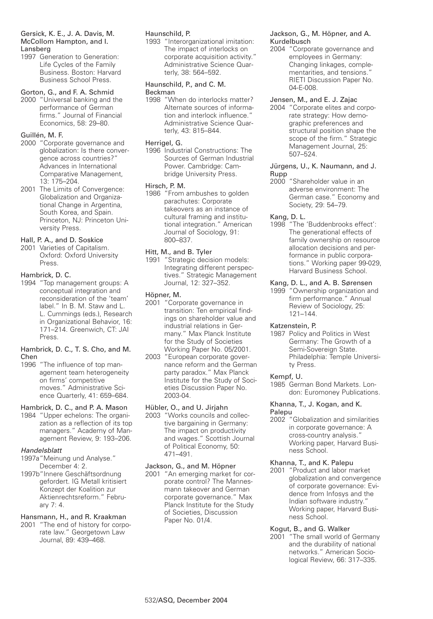### Gersick, K. E., J. A. Davis, M. McCollom Hampton, and I. Lansberg

1997 Generation to Generation: Life Cycles of the Family Business. Boston: Harvard Business School Press.

# Gorton, G., and F. A. Schmid

2000 "Universal banking and the performance of German firms." Journal of Financial Economics, 58: 29–80.

# Guillén, M. F.

- 2000 "Corporate governance and globalization: Is there convergence across countries?" Advances in International Comparative Management, 13: 175–204.
- 2001 The Limits of Convergence: Globalization and Organizational Change in Argentina, South Korea, and Spain. Princeton, NJ: Princeton University Press.

# Hall, P. A., and D. Soskice

2001 Varieties of Capitalism. Oxford: Oxford University Press.

# Hambrick, D. C.

1994 "Top management groups: A conceptual integration and reconsideration of the 'team' label." In B. M. Staw and L. L. Cummings (eds.), Research in Organizational Behavior, 16: 171–214. Greenwich, CT: JAI Press.

#### Hambrick, D. C., T. S. Cho, and M. Chen

1996 "The influence of top management team heterogeneity on firms' competitive moves." Administrative Science Quarterly, 41: 659–684.

# Hambrick, D. C., and P. A. Mason

1984 "Upper echelons: The organization as a reflection of its top managers." Academy of Management Review, 9: 193–206.

# Handelsblatt

- 1997a"Meinung und Analyse." December 4: 2.
- 1997b"Innere Geschäftsordnung gefordert. IG Metall kritisiert Konzept der Koalition zur Aktienrechtsreform." February 7: 4.

# Hansmann, H., and R. Kraakman

2001 "The end of history for corporate law." Georgetown Law Journal, 89: 439–468.

# Haunschild, P.

1993 "Interorganizational imitation: The impact of interlocks on corporate acquisition activity." Administrative Science Quarterly, 38: 564–592.

# Haunschild, P., and C. M. Beckman

1998 "When do interlocks matter? Alternate sources of information and interlock influence." Administrative Science Quarterly, 43: 815–844.

# Herrigel, G.

1996 Industrial Constructions: The Sources of German Industrial Power. Cambridge: Cambridge University Press.

# Hirsch, P. M.

1986 "From ambushes to golden parachutes: Corporate takeovers as an instance of cultural framing and institutional integration." American Journal of Sociology, 91: 800–837.

# Hitt, M., and B. Tyler

1991 "Strategic decision models: Integrating different perspectives." Strategic Management Journal, 12: 327–352.

## Höpner, M.

- 2001 "Corporate governance in transition: Ten empirical findings on shareholder value and industrial relations in Germany." Max Planck Institute for the Study of Societies Working Paper No. 05/2001.
- 2003 "European corporate governance reform and the German party paradox." Max Planck Institute for the Study of Societies Discussion Paper No. 2003-04.

# Hübler, O., and U. Jirjahn

2003 "Works councils and collective bargaining in Germany: The impact on productivity and wages." Scottish Journal of Political Economy, 50: 471–491.

### Jackson, G., and M. Höpner

2001 "An emerging market for corporate control? The Mannesmann takeover and German corporate governance." Max Planck Institute for the Study of Societies, Discussion Paper No. 01/4.

# Jackson, G., M. Höpner, and A. Kurdelbusch

2004 "Corporate governance and employees in Germany: Changing linkages, complementarities, and tensions." RIETI Discussion Paper No. 04-E-008.

# Jensen, M., and E. J. Zajac

2004 "Corporate elites and corporate strategy: How demographic preferences and structural position shape the scope of the firm." Strategic Management Journal, 25: 507–524.

### Jürgens, U., K. Naumann, and J. Rupp

2000 "Shareholder value in an adverse environment: The German case." Economy and Society, 29: 54–79.

# Kang, D. L.

1998 "The 'Buddenbrooks effect': The generational effects of family ownership on resource allocation decisions and performance in public corporations." Working paper 99-029, Harvard Business School.

## Kang, D. L., and A. B. Sørensen

1999 "Ownership organization and firm performance." Annual Review of Sociology, 25: 121–144.

# Katzenstein, P.

1987 Policy and Politics in West Germany: The Growth of a Semi-Sovereign State. Philadelphia: Temple University Press.

# Kempf, U.

1985 German Bond Markets. London: Euromoney Publications.

#### Khanna, T., J. Kogan, and K. Palepu

2002 "Globalization and similarities in corporate governance: A cross-country analysis." Working paper, Harvard Business School.

# Khanna, T., and K. Palepu

2001 "Product and labor market globalization and convergence of corporate governance: Evidence from Infosys and the Indian software industry." Working paper, Harvard Business School.

# Kogut, B., and G. Walker

2001 "The small world of Germany and the durability of national networks." American Sociological Review, 66: 317–335.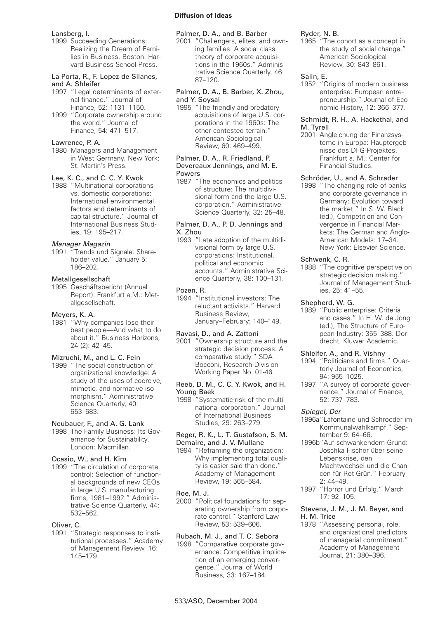#### Lansberg, I.

1999 Succeeding Generations: Realizing the Dream of Families in Business. Boston: Harvard Business School Press.

#### La Porta, R., F. Lopez-de-Silanes, and A. Shleifer

- 1997 "Legal determinants of external finance." Journal of Finance, 52: 1131–1150.
- 1999 "Corporate ownership around the world." Journal of Finance, 54: 471–517.

#### Lawrence, P. A.

1980 Managers and Management in West Germany. New York: St. Martin's Press.

# Lee, K. C., and C. C. Y. Kwok

1988 "Multinational corporations vs. domestic corporations: International environmental factors and determinants of capital structure." Journal of International Business Studies, 19: 195–217.

# Manager Magazin

1991 "Trends und Signale: Shareholder value." January 5: 186–202.

#### **Metallgesellschaft**

1995 Geschäftsbericht (Annual Report). Frankfurt a.M.: Metallgesellschaft.

#### Meyers, K. A.

1981 "Why companies lose their best people—And what to do about it." Business Horizons, 24 (2): 42–45.

### Mizruchi, M., and L. C. Fein

1999 "The social construction of organizational knowledge: A study of the uses of coercive, mimetic, and normative isomorphism." Administrative Science Quarterly, 40: 653–683.

### Neubauer, F., and A. G. Lank

1998 The Family Business: Its Governance for Sustainability. London: Macmillan.

### Ocasio, W., and H. Kim

1999 "The circulation of corporate control: Selection of functional backgrounds of new CEOs in large U.S. manufacturing firms, 1981–1992." Administrative Science Quarterly, 44: 532–562.

#### Oliver, C.

1991 "Strategic responses to institutional processes." Academy of Management Review, 16: 145–179.

### Palmer, D. A., and B. Barber

2001 "Challengers, elites, and owning families: A social class theory of corporate acquisitions in the 1960s." Administrative Science Quarterly, 46: 87–120.

### Palmer, D. A., B. Barber, X. Zhou, and Y. Soysal

1995 "The friendly and predatory acquisitions of large U.S. corporations in the 1960s: The other contested terrain." American Sociological Review, 60: 469–499.

#### Palmer, D. A., R. Friedland, P. Devereaux Jennings, and M. E. Powers

1987 "The economics and politics of structure: The multidivisional form and the large U.S. corporation." Administrative Science Quarterly, 32: 25–48.

#### Palmer, D. A., P. D. Jennings and X. Zhou

1993 "Late adoption of the multidivisional form by large U.S. corporations: Institutional, political and economic accounts." Administrative Science Quarterly, 38: 100–131.

#### Pozen, R.

1994 "Institutional investors: The reluctant activists." Harvard Business Review, January–February: 140–149.

### Ravasi, D., and A. Zattoni

2001 "Ownership structure and the strategic decision process: A comparative study." SDA Bocconi, Research Division Working Paper No. 01-46.

#### Reeb, D. M., C. C. Y. Kwok, and H. Young Baek

1998 "Systematic risk of the multinational corporation." Journal of International Business Studies, 29: 263–279.

#### Reger, R. K., L. T. Gustafson, S. M. Demaire, and J. V. Mullane

1994 "Reframing the organization: Why implementing total quality is easier said than done." Academy of Management Review, 19: 565–584.

### Roe, M. J.

2000 "Political foundations for separating ownership from corporate control." Stanford Law Review, 53: 539–606.

# Rubach, M. J., and T. C. Sebora

1998 "Comparative corporate governance: Competitive implication of an emerging convergence." Journal of World Business, 33: 167–184.

#### Ryder, N. B.

1965 "The cohort as a concept in the study of social change." American Sociological Review, 30: 843–861.

# Salin, E.

1952 "Origins of modern business enterprise: European entrepreneurship." Journal of Economic History, 12: 366–377.

#### Schmidt, R. H., A. Hackethal, and M. Tyrell

2001 Angleichung der Finanzsysteme in Europa: Hauptergebnisse des DFG-Projektes. Frankfurt a. M.: Center for Financial Studies.

# Schröder, U., and A. Schrader

1998 "The changing role of banks and corporate governance in Germany: Evolution toward the market." In S. W. Black (ed.), Competition and Convergence in Financial Markets: The German and Anglo-American Models: 17–34. New York: Elsevier Science.

#### Schwenk, C. R.

1988 "The cognitive perspective on strategic decision making." Journal of Management Studies, 25: 41–55.

#### Shepherd, W. G.

1989 "Public enterprise: Criteria and cases." In H. W. de Jong (ed.), The Structure of European Industry: 355–388. Dordrecht: Kluwer Academic.

#### Shleifer, A., and R. Vishny

- 1994 "Politicians and firms." Quarterly Journal of Economics, 94: 955–1025.
- 1997 "A survey of corporate governance." Journal of Finance, 52: 737–783.

#### Spiegel, Der

- 1996a"Lafontaine und Schroeder im Kommunalwahlkampf." September 9: 64–66.
- 1996b"Auf schwankendem Grund: Joschka Fischer über seine Lebenskrise, den Machtwechsel und die Chancen für Rot-Grün." February 2: 44–49.
- 1997 "Horror und Erfolg." March 17: 92–105.

#### Stevens, J. M., J. M. Beyer, and H. M. Trice

1978 "Assessing personal, role, and organizational predictors of managerial commitment." Academy of Management Journal, 21: 380–396.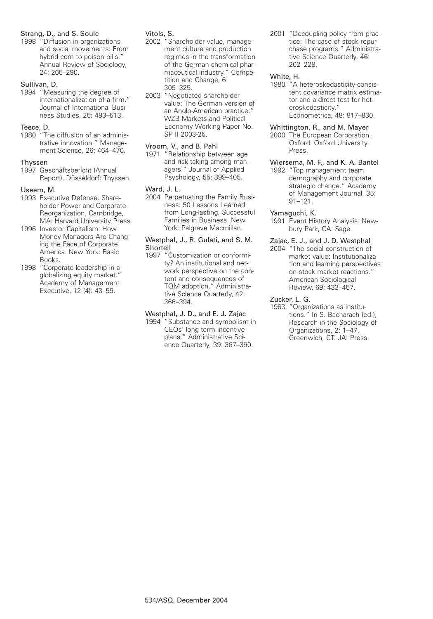# Strang, D., and S. Soule

1998 "Diffusion in organizations and social movements: From hybrid corn to poison pills." Annual Review of Sociology, 24: 265–290.

# Sullivan, D.

1994 "Measuring the degree of internationalization of a firm." Journal of International Business Studies, 25: 493–513.

# Teece, D.

1980 "The diffusion of an administrative innovation." Management Science, 26: 464–470.

### Thyssen

1997 Geschäftsbericht (Annual Report). Düsseldorf: Thyssen.

# Useem, M.

- 1993 Executive Defense: Shareholder Power and Corporate Reorganization. Cambridge, MA: Harvard University Press.
- 1996 Investor Capitalism: How Money Managers Are Changing the Face of Corporate America. New York: Basic Books.
- 1998 "Corporate leadership in a globalizing equity market." Academy of Management Executive, 12 (4): 43–59.

# Vitols, S.

- 2002 "Shareholder value, management culture and production regimes in the transformation of the German chemical-pharmaceutical industry." Competition and Change, 6: 309–325.
- 2003 "Negotiated shareholder value: The German version of an Anglo-American practice." WZB Markets and Political Economy Working Paper No. SP II 2003-25.

# Vroom, V., and B. Pahl

1971 "Relationship between age and risk-taking among managers." Journal of Applied Psychology, 55: 399–405.

# Ward, J. L.

2004 Perpetuating the Family Business: 50 Lessons Learned from Long-lasting, Successful Families in Business. New York: Palgrave Macmillan.

#### Westphal, J., R. Gulati, and S. M. Shortell

1997 "Customization or conformity? An institutional and network perspective on the content and consequences of TQM adoption." Administrative Science Quarterly, 42: 366–394.

# Westphal, J. D., and E. J. Zajac

1994 "Substance and symbolism in CEOs' long-term incentive plans." Administrative Science Quarterly, 39: 367–390.

2001 "Decoupling policy from practice: The case of stock repurchase programs." Administrative Science Quarterly, 46: 202–228.

## White, H.

1980 "A heteroskedasticity-consistent covariance matrix estimator and a direct test for heteroskedasticity." Econometrica, 48: 817–830.

# Whittington, R., and M. Mayer

- 2000 The European Corporation. Oxford: Oxford University Press.
- Wiersema, M. F., and K. A. Bantel 1992 "Top management team demography and corporate strategic change." Academy of Management Journal, 35: 91–121.

# Yamaguchi, K.

1991 Event History Analysis. Newbury Park, CA: Sage.

### Zajac, E. J., and J. D. Westphal

2004 "The social construction of market value: Institutionalization and learning perspectives on stock market reactions." American Sociological Review, 69: 433–457.

# Zucker, L. G.

1983 "Organizations as institutions." In S. Bacharach (ed.), Research in the Sociology of Organizations, 2: 1–47. Greenwich, CT: JAI Press.